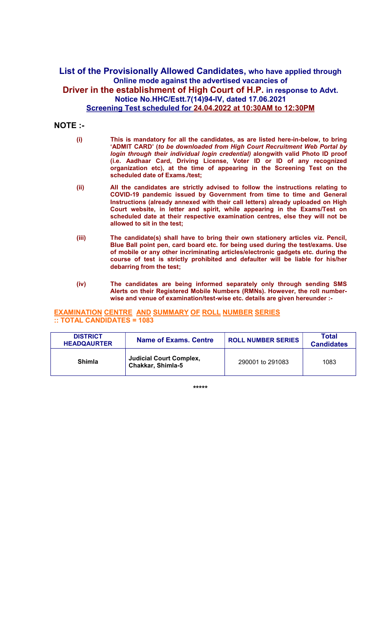## List of the Provisionally Allowed Candidates, who have applied through Online mode against the advertised vacancies of Driver in the establishment of High Court of H.P. in response to Advt. Notice No.HHC/Estt.7(14)94-IV, dated 17.06.2021 Screening Test scheduled for 24.04.2022 at 10:30AM to 12:30PM

## NOTE :-

| (i) | This is mandatory for all the candidates, as are listed here-in-below, to bring<br>'ADMIT CARD' (to be downloaded from High Court Recruitment Web Portal by                                                                                                            |
|-----|------------------------------------------------------------------------------------------------------------------------------------------------------------------------------------------------------------------------------------------------------------------------|
|     | login through their individual login credential) alongwith valid Photo ID proof<br>(i.e. Aadhaar Card, Driving License, Voter ID or ID of any recognized<br>organization etc), at the time of appearing in the Screening Test on the<br>scheduled date of Exams./test; |

- (ii) All the candidates are strictly advised to follow the instructions relating to COVID-19 pandemic issued by Government from time to time and General Instructions (already annexed with their call letters) already uploaded on High Court website, in letter and spirit, while appearing in the Exams/Test on scheduled date at their respective examination centres, else they will not be allowed to sit in the test;
- (iii) The candidate(s) shall have to bring their own stationery articles viz. Pencil, Blue Ball point pen, card board etc. for being used during the test/exams. Use of mobile or any other incriminating articles/electronic gadgets etc. during the course of test is strictly prohibited and defaulter will be liable for his/her debarring from the test;
- (iv) The candidates are being informed separately only through sending SMS Alerts on their Registered Mobile Numbers (RMNs). However, the roll numberwise and venue of examination/test-wise etc. details are given hereunder :-

## EXAMINATION CENTRE AND SUMMARY OF ROLL NUMBER SERIES :: TOTAL CANDIDATES = 1083

| <b>DISTRICT</b><br><b>HEADQAURTER</b> | <b>Name of Exams. Centre</b>                               | <b>ROLL NUMBER SERIES</b> | <b>Total</b><br><b>Candidates</b> |
|---------------------------------------|------------------------------------------------------------|---------------------------|-----------------------------------|
| <b>Shimla</b>                         | <b>Judicial Court Complex,</b><br><b>Chakkar, Shimla-5</b> | 290001 to 291083          | 1083                              |

\*\*\*\*\*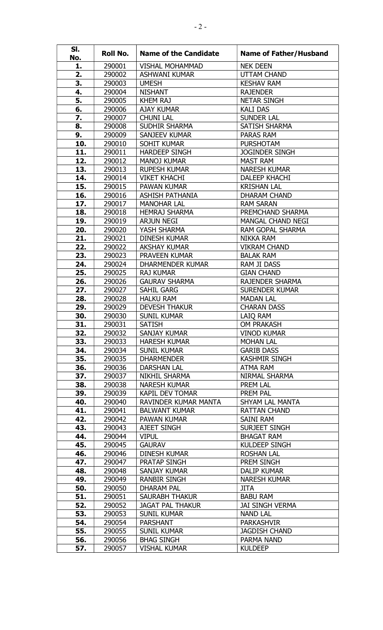| SI.<br>No. | Roll No.         | <b>Name of the Candidate</b>                | <b>Name of Father/Husband</b>           |
|------------|------------------|---------------------------------------------|-----------------------------------------|
| 1.         | 290001           | <b>VISHAL MOHAMMAD</b>                      | <b>NEK DEEN</b>                         |
| 2.         | 290002           | <b>ASHWANI KUMAR</b>                        | <b>UTTAM CHAND</b>                      |
| 3.         | 290003           | <b>UMESH</b>                                | <b>KESHAV RAM</b>                       |
| 4.         | 290004           | <b>NISHANT</b>                              | <b>RAJENDER</b>                         |
| 5.         | 290005           | <b>KHEM RAJ</b>                             | <b>NETAR SINGH</b>                      |
| 6.         | 290006           | <b>AJAY KUMAR</b>                           | <b>KALI DAS</b>                         |
| 7.         | 290007           | <b>CHUNI LAL</b>                            | <b>SUNDER LAL</b>                       |
| 8.         | 290008           | SUDHIR SHARMA                               | <b>SATISH SHARMA</b>                    |
| 9.         | 290009           | SANJEEV KUMAR                               | PARAS RAM                               |
| 10.        | 290010           | <b>SOHIT KUMAR</b>                          | <b>PURSHOTAM</b>                        |
| 11.        | 290011           | <b>HARDEEP SINGH</b>                        | <b>JOGINDER SINGH</b>                   |
| 12.        | 290012           | <b>MANOJ KUMAR</b>                          | <b>MAST RAM</b>                         |
| 13.        | 290013           | <b>RUPESH KUMAR</b>                         | <b>NARESH KUMAR</b>                     |
| 14.        | 290014           | <b>VIKET KHACHI</b>                         | <b>DALEEP KHACHI</b>                    |
| 15.        | 290015           | <b>PAWAN KUMAR</b>                          | <b>KRISHAN LAL</b>                      |
| 16.        | 290016           | <b>ASHISH PATHANIA</b>                      | <b>DHARAM CHAND</b>                     |
| 17.        | 290017           | <b>MANOHAR LAL</b>                          | <b>RAM SARAN</b>                        |
| 18.        | 290018           | <b>HEMRAJ SHARMA</b>                        | PREMCHAND SHARMA                        |
| 19.        | 290019           | <b>ARJUN NEGI</b>                           | <b>MANGAL CHAND NEGI</b>                |
| 20.        | 290020           | YASH SHARMA                                 | RAM GOPAL SHARMA                        |
| 21.        | 290021           | <b>DINESH KUMAR</b>                         | <b>NIKKA RAM</b>                        |
| 22.        | 290022           | <b>AKSHAY KUMAR</b><br><b>PRAVEEN KUMAR</b> | <b>VIKRAM CHAND</b><br><b>BALAK RAM</b> |
| 23.<br>24. | 290023<br>290024 | <b>DHARMENDER KUMAR</b>                     | <b>RAM JI DASS</b>                      |
| 25.        | 290025           | <b>RAJ KUMAR</b>                            | <b>GIAN CHAND</b>                       |
| 26.        | 290026           | <b>GAURAV SHARMA</b>                        | <b>RAJENDER SHARMA</b>                  |
| 27.        | 290027           | SAHIL GARG                                  | <b>SURENDER KUMAR</b>                   |
| 28.        | 290028           | <b>HALKU RAM</b>                            | <b>MADAN LAL</b>                        |
| 29.        | 290029           | <b>DEVESH THAKUR</b>                        | <b>CHARAN DASS</b>                      |
| 30.        | 290030           | <b>SUNIL KUMAR</b>                          | LAIQ RAM                                |
| 31.        | 290031           | <b>SATISH</b>                               | OM PRAKASH                              |
| 32.        | 290032           | SANJAY KUMAR                                | <b>VINOD KUMAR</b>                      |
| 33.        | 290033           | <b>HARESH KUMAR</b>                         | <b>MOHAN LAL</b>                        |
| 34.        | 290034           | <b>SUNIL KUMAR</b>                          | <b>GARIB DASS</b>                       |
| 35.        | 290035           | <b>DHARMENDER</b>                           | <b>KASHMIR SINGH</b>                    |
| 36.        | 290036           | <b>DARSHAN LAL</b>                          | ATMA RAM                                |
| 37.        | 290037           | NIKHIL SHARMA                               | NIRMAL SHARMA                           |
| 38.        | 290038           | NARESH KUMAR                                | PREM LAL                                |
| 39.        | 290039           | KAPIL DEV TOMAR                             | PREM PAL                                |
| 40.        | 290040           | RAVINDER KUMAR MANTA                        | SHYAM LAL MANTA                         |
| 41.        | 290041           | <b>BALWANT KUMAR</b>                        | <b>RATTAN CHAND</b>                     |
| 42.        | 290042           | PAWAN KUMAR                                 | SAINI RAM                               |
| 43.        | 290043           | AJEET SINGH                                 | SURJEET SINGH                           |
| 44.        | 290044           | <b>VIPUL</b>                                | <b>BHAGAT RAM</b>                       |
| 45.        | 290045           | <b>GAURAV</b>                               | <b>KULDEEP SINGH</b>                    |
| 46.        | 290046           | DINESH KUMAR                                | <b>ROSHAN LAL</b>                       |
| 47.        | 290047           | PRATAP SINGH                                | PREM SINGH                              |
| 48.        | 290048           | SANJAY KUMAR                                | DALIP KUMAR                             |
| 49.        | 290049           | RANBIR SINGH                                | <b>NARESH KUMAR</b>                     |
| 50.        | 290050           | DHARAM PAL                                  | JITA                                    |
| 51.        | 290051           | SAURABH THAKUR                              | <b>BABU RAM</b>                         |
| 52.        | 290052           | <b>JAGAT PAL THAKUR</b>                     | <b>JAI SINGH VERMA</b>                  |
| 53.        | 290053           | <b>SUNIL KUMAR</b>                          | <b>NAND LAL</b>                         |
| 54.<br>55. | 290054<br>290055 | <b>PARSHANT</b><br><b>SUNIL KUMAR</b>       | PARKASHVIR<br><b>JAGDISH CHAND</b>      |
| 56.        | 290056           | <b>BHAG SINGH</b>                           | PARMA NAND                              |
| 57.        | 290057           | <b>VISHAL KUMAR</b>                         | <b>KULDEEP</b>                          |
|            |                  |                                             |                                         |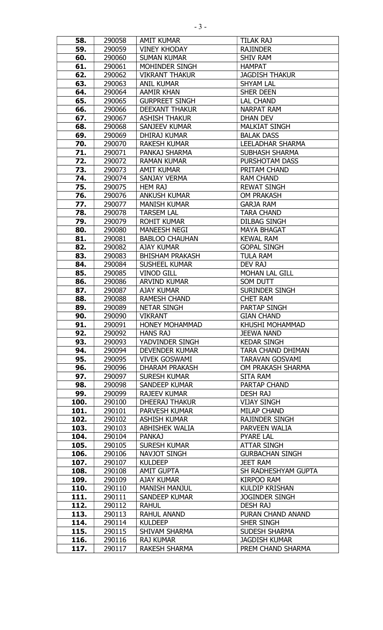| 58.  | 290058 | <b>AMIT KUMAR</b>      | <b>TILAK RAJ</b>         |
|------|--------|------------------------|--------------------------|
| 59.  | 290059 | <b>VINEY KHODAY</b>    | <b>RAJINDER</b>          |
| 60.  | 290060 | <b>SUMAN KUMAR</b>     | <b>SHIV RAM</b>          |
| 61.  | 290061 | MOHINDER SINGH         | <b>HAMPAT</b>            |
| 62.  | 290062 | <b>VIKRANT THAKUR</b>  | <b>JAGDISH THAKUR</b>    |
| 63.  | 290063 | <b>ANIL KUMAR</b>      | <b>SHYAM LAL</b>         |
| 64.  | 290064 | <b>AAMIR KHAN</b>      | <b>SHER DEEN</b>         |
| 65.  | 290065 | <b>GURPREET SINGH</b>  | <b>LAL CHAND</b>         |
| 66.  | 290066 | <b>DEEXANT THAKUR</b>  | <b>NARPAT RAM</b>        |
| 67.  | 290067 | <b>ASHISH THAKUR</b>   | DHAN DEV                 |
| 68.  | 290068 | SANJEEV KUMAR          | <b>MALKIAT SINGH</b>     |
| 69.  | 290069 | DHIRAJ KUMAR           | <b>BALAK DASS</b>        |
| 70.  | 290070 | <b>RAKESH KUMAR</b>    | <b>LEELADHAR SHARMA</b>  |
| 71.  | 290071 | PANKAJ SHARMA          | <b>SUBHASH SHARMA</b>    |
|      |        | <b>RAMAN KUMAR</b>     | <b>PURSHOTAM DASS</b>    |
| 72.  | 290072 |                        |                          |
| 73.  | 290073 | <b>AMIT KUMAR</b>      | PRITAM CHAND             |
| 74.  | 290074 | SANJAY VERMA           | <b>RAM CHAND</b>         |
| 75.  | 290075 | <b>HEM RAJ</b>         | <b>REWAT SINGH</b>       |
| 76.  | 290076 | <b>ANKUSH KUMAR</b>    | <b>OM PRAKASH</b>        |
| 77.  | 290077 | <b>MANISH KUMAR</b>    | <b>GARJA RAM</b>         |
| 78.  | 290078 | <b>TARSEM LAL</b>      | <b>TARA CHAND</b>        |
| 79.  | 290079 | <b>ROHIT KUMAR</b>     | <b>DILBAG SINGH</b>      |
| 80.  | 290080 | <b>MANEESH NEGI</b>    | <b>MAYA BHAGAT</b>       |
| 81.  | 290081 | <b>BABLOO CHAUHAN</b>  | <b>KEWAL RAM</b>         |
| 82.  | 290082 | <b>AJAY KUMAR</b>      | <b>GOPAL SINGH</b>       |
| 83.  | 290083 | <b>BHISHAM PRAKASH</b> | <b>TULA RAM</b>          |
| 84.  | 290084 | <b>SUSHEEL KUMAR</b>   | DEV RAJ                  |
| 85.  | 290085 | <b>VINOD GILL</b>      | <b>MOHAN LAL GILL</b>    |
| 86.  | 290086 | <b>ARVIND KUMAR</b>    | SOM DUTT                 |
| 87.  | 290087 | <b>AJAY KUMAR</b>      | <b>SURINDER SINGH</b>    |
| 88.  | 290088 | <b>RAMESH CHAND</b>    | <b>CHET RAM</b>          |
| 89.  | 290089 | <b>NETAR SINGH</b>     | <b>PARTAP SINGH</b>      |
| 90.  | 290090 | VIKRANT                | <b>GIAN CHAND</b>        |
| 91.  | 290091 | <b>HONEY MOHAMMAD</b>  | KHUSHI MOHAMMAD          |
| 92.  | 290092 | <b>HANS RAJ</b>        | <b>JEEWA NAND</b>        |
| 93.  | 290093 | YADVINDER SINGH        | <b>KEDAR SINGH</b>       |
| 94.  | 290094 | <b>DEVENDER KUMAR</b>  | <b>TARA CHAND DHIMAN</b> |
| 95.  | 290095 | <b>VIVEK GOSWAMI</b>   | <b>TARAVAN GOSVAMI</b>   |
| 96.  | 290096 | DHARAM PRAKASH         | OM PRAKASH SHARMA        |
| 97.  | 290097 | <b>SURESH KUMAR</b>    | SITA RAM                 |
| 98.  | 290098 | <b>SANDEEP KUMAR</b>   | <b>PARTAP CHAND</b>      |
| 99.  | 290099 | <b>RAJEEV KUMAR</b>    | <b>DESH RAJ</b>          |
| 100. | 290100 | <b>DHEERAJ THAKUR</b>  | <b>VIJAY SINGH</b>       |
| 101. | 290101 | PARVESH KUMAR          | <b>MILAP CHAND</b>       |
| 102. | 290102 | <b>ASHISH KUMAR</b>    | <b>RAJINDER SINGH</b>    |
| 103. | 290103 | <b>ABHISHEK WALIA</b>  | PARVEEN WALIA            |
| 104. | 290104 | <b>PANKAJ</b>          | <b>PYARE LAL</b>         |
| 105. | 290105 | <b>SURESH KUMAR</b>    | ATTAR SINGH              |
| 106. | 290106 | NAVJOT SINGH           | <b>GURBACHAN SINGH</b>   |
| 107. | 290107 | <b>KULDEEP</b>         | <b>JEET RAM</b>          |
| 108. | 290108 | <b>AMIT GUPTA</b>      | SH RADHESHYAM GUPTA      |
| 109. | 290109 | <b>AJAY KUMAR</b>      | <b>KIRPOO RAM</b>        |
| 110. | 290110 | <b>MANISH MANJUL</b>   | <b>KULDIP KRISHAN</b>    |
| 111. | 290111 | <b>SANDEEP KUMAR</b>   | <b>JOGINDER SINGH</b>    |
| 112. | 290112 | <b>RAHUL</b>           | <b>DESH RAJ</b>          |
| 113. | 290113 | <b>RAHUL ANAND</b>     | PURAN CHAND ANAND        |
| 114. | 290114 | <b>KULDEEP</b>         | SHER SINGH               |
| 115. | 290115 | <b>SHIVAM SHARMA</b>   | SUDESH SHARMA            |
|      |        |                        |                          |
| 116. | 290116 | <b>RAJ KUMAR</b>       | <b>JAGDISH KUMAR</b>     |
| 117. | 290117 | <b>RAKESH SHARMA</b>   | PREM CHAND SHARMA        |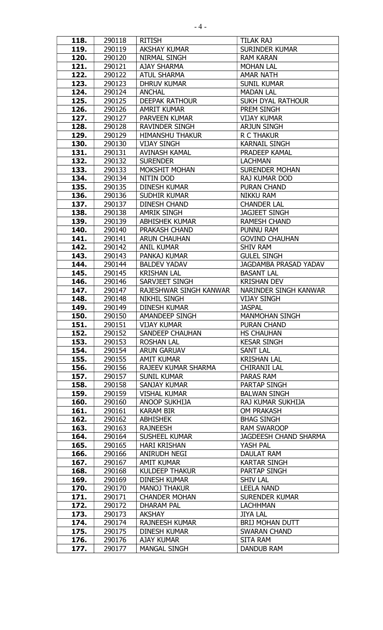| 118.         | 290118           | <b>RITISH</b>                            | TILAK RAJ                            |
|--------------|------------------|------------------------------------------|--------------------------------------|
| 119.         | 290119           | <b>AKSHAY KUMAR</b>                      | <b>SURINDER KUMAR</b>                |
| 120.         | 290120           | NIRMAL SINGH                             | <b>RAM KARAN</b>                     |
| 121.         | 290121           | <b>AJAY SHARMA</b>                       | <b>MOHAN LAL</b>                     |
| 122.         | 290122           | <b>ATUL SHARMA</b>                       | <b>AMAR NATH</b>                     |
| 123.         | 290123           | <b>DHRUV KUMAR</b>                       | <b>SUNIL KUMAR</b>                   |
| 124.         | 290124           | <b>ANCHAL</b>                            | <b>MADAN LAL</b>                     |
| 125.         | 290125           | <b>DEEPAK RATHOUR</b>                    | <b>SUKH DYAL RATHOUR</b>             |
| 126.         | 290126           | <b>AMRIT KUMAR</b>                       | PREM SINGH                           |
| 127.         | 290127           | <b>PARVEEN KUMAR</b>                     | <b>VIJAY KUMAR</b>                   |
| 128.         | 290128           | <b>RAVINDER SINGH</b>                    | <b>ARJUN SINGH</b>                   |
| 129.         | 290129           | <b>HIMANSHU THAKUR</b>                   | <b>R C THAKUR</b>                    |
| 130.         | 290130           | <b>VIJAY SINGH</b>                       | <b>KARNAIL SINGH</b>                 |
|              |                  | <b>AVINASH KAMAL</b>                     | PRADEEP KAMAL                        |
| 131.         | 290131           |                                          |                                      |
| 132.         | 290132           | <b>SURENDER</b>                          | <b>LACHMAN</b>                       |
| 133.         | 290133           | MOKSHIT MOHAN                            | <b>SURENDER MOHAN</b>                |
| 134.         | 290134           | NITIN DOD                                | RAJ KUMAR DOD                        |
| 135.         | 290135           | <b>DINESH KUMAR</b>                      | <b>PURAN CHAND</b>                   |
| 136.         | 290136           | SUDHIR KUMAR                             | <b>NIKKU RAM</b>                     |
| 137.         | 290137           | <b>DINESH CHAND</b>                      | <b>CHANDER LAL</b>                   |
| 138.         | 290138           | <b>AMRIK SINGH</b>                       | <b>JAGJEET SINGH</b>                 |
| 139.         | 290139           | <b>ABHISHEK KUMAR</b>                    | <b>RAMESH CHAND</b>                  |
| 140.         | 290140           | PRAKASH CHAND                            | PUNNU RAM                            |
| 141.         | 290141           | <b>ARUN CHAUHAN</b>                      | <b>GOVIND CHAUHAN</b>                |
| 142.         | 290142           | <b>ANIL KUMAR</b>                        | <b>SHIV RAM</b>                      |
| 143.         | 290143           | PANKAJ KUMAR                             | <b>GULEL SINGH</b>                   |
| 144.         | 290144           | <b>BALDEV YADAV</b>                      | <b>JAGDAMBA PRASAD YADAV</b>         |
| 145.         | 290145           | <b>KRISHAN LAL</b>                       | <b>BASANT LAL</b>                    |
| 146.         | 290146           | SARVJEET SINGH                           | <b>KRISHAN DEV</b>                   |
| 147.         | 290147           | RAJESHWAR SINGH KANWAR                   | NARINDER SINGH KANWAR                |
| 148.         | 290148           | <b>NIKHIL SINGH</b>                      | <b>VIJAY SINGH</b>                   |
| 149.         | 290149           | <b>DINESH KUMAR</b>                      | <b>JASPAL</b>                        |
| 150.         | 290150           | AMANDEEP SINGH                           | <b>MANMOHAN SINGH</b>                |
| 151.         | 290151           | <b>VIJAY KUMAR</b>                       | <b>PURAN CHAND</b>                   |
| 152.         | 290152           | <b>SANDEEP CHAUHAN</b>                   | <b>HS CHAUHAN</b>                    |
| 153.         | 290153           | <b>ROSHAN LAL</b>                        | <b>KESAR SINGH</b>                   |
| 154.         | 290154           | <b>ARUN GARUAV</b>                       | SANT LAL                             |
| 155.         | 290155           | <b>AMIT KUMAR</b>                        | <b>KRISHAN LAL</b>                   |
| 156.         | 290156           | RAJEEV KUMAR SHARMA                      | <b>CHIRANJI LAL</b>                  |
| 157.         | 290157           | <b>SUNIL KUMAR</b>                       |                                      |
| 158.         |                  |                                          | PARAS RAM                            |
|              | 290158           | SANJAY KUMAR                             | <b>PARTAP SINGH</b>                  |
| 159.         | 290159           | <b>VISHAL KUMAR</b>                      | <b>BALWAN SINGH</b>                  |
| 160.         | 290160           | ANOOP SUKHIJA                            | RAJ KUMAR SUKHIJA                    |
|              | 290161           | <b>KARAM BIR</b>                         | <b>OM PRAKASH</b>                    |
| 161.         |                  |                                          |                                      |
| 162.         | 290162           | <b>ABHISHEK</b>                          | <b>BHAG SINGH</b>                    |
| 163.         | 290163           | <b>RAJNEESH</b>                          | <b>RAM SWAROOP</b>                   |
| 164.         | 290164           | <b>SUSHEEL KUMAR</b>                     | <b>JAGDEESH CHAND SHARMA</b>         |
| 165.         | 290165           | <b>HARI KRISHAN</b>                      | YASH PAL                             |
| 166.         | 290166           | ANIRUDH NEGI                             | DAULAT RAM                           |
| 167.         | 290167           | <b>AMIT KUMAR</b>                        | <b>KARTAR SINGH</b>                  |
| 168.         | 290168           | <b>KULDEEP THAKUR</b>                    | PARTAP SINGH                         |
| 169.         | 290169           | <b>DINESH KUMAR</b>                      | <b>SHIV LAL</b>                      |
| 170.         | 290170           | <b>MANOJ THAKUR</b>                      | <b>LEELA NAND</b>                    |
| 171.         | 290171           | <b>CHANDER MOHAN</b>                     | <b>SURENDER KUMAR</b>                |
| 172.         | 290172           | <b>DHARAM PAL</b>                        | <b>LACHHMAN</b>                      |
| 173.         | 290173           | <b>AKSHAY</b>                            | <b>JIYA LAL</b>                      |
| 174.         | 290174           | <b>RAJNEESH KUMAR</b>                    | <b>BRIJ MOHAN DUTT</b>               |
| 175.         | 290175           | <b>DINESH KUMAR</b>                      | <b>SWARAN CHAND</b>                  |
| 176.<br>177. | 290176<br>290177 | <b>AJAY KUMAR</b><br><b>MANGAL SINGH</b> | <b>SITA RAM</b><br><b>DANDUB RAM</b> |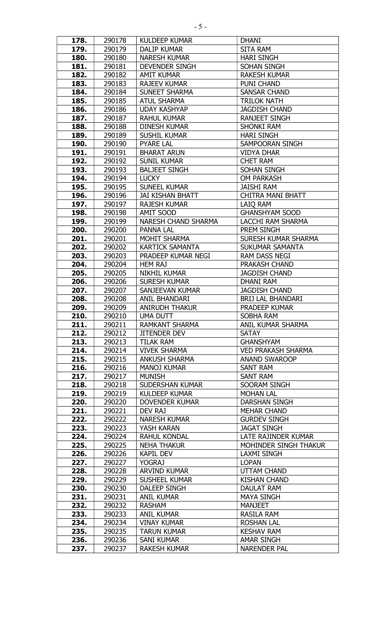| 178.         | 290178           | <b>KULDEEP KUMAR</b>              | <b>DHANI</b>                              |
|--------------|------------------|-----------------------------------|-------------------------------------------|
| 179.         | 290179           | <b>DALIP KUMAR</b>                | <b>SITA RAM</b>                           |
| 180.         | 290180           | <b>NARESH KUMAR</b>               | <b>HARI SINGH</b>                         |
| 181.         | 290181           | <b>DEVENDER SINGH</b>             | <b>SOHAN SINGH</b>                        |
| 182.         | 290182           | <b>AMIT KUMAR</b>                 | <b>RAKESH KUMAR</b>                       |
| 183.         | 290183           | <b>RAJEEV KUMAR</b>               | <b>PUNI CHAND</b>                         |
| 184.         | 290184           | <b>SUNEET SHARMA</b>              | <b>SANSAR CHAND</b>                       |
| 185.         | 290185           | <b>ATUL SHARMA</b>                | <b>TRILOK NATH</b>                        |
| 186.         | 290186           | <b>UDAY KASHYAP</b>               | <b>JAGDISH CHAND</b>                      |
| 187.         | 290187           | <b>RAHUL KUMAR</b>                | <b>RANJEET SINGH</b>                      |
| 188.         | 290188           | <b>DINESH KUMAR</b>               | <b>SHONKI RAM</b>                         |
| 189.         | 290189           | SUSHIL KUMAR                      | <b>HARI SINGH</b>                         |
| 190.         | 290190           | <b>PYARE LAL</b>                  | SAMPOORAN SINGH                           |
| 191.         | 290191           | <b>BHARAT ARUN</b>                | <b>VIDYA DHAR</b>                         |
| 192.         | 290192           | <b>SUNIL KUMAR</b>                | <b>CHET RAM</b>                           |
| 193.         | 290193           | <b>BALJEET SINGH</b>              | <b>SOHAN SINGH</b>                        |
| 194.         | 290194           | <b>LUCKY</b>                      | <b>OM PARKASH</b>                         |
| 195.         | 290195           | <b>SUNEEL KUMAR</b>               | <b>JAISHI RAM</b>                         |
| 196.         | 290196           | <b>JAI KISHAN BHATT</b>           | <b>CHITRA MANI BHATT</b>                  |
| 197.         | 290197           | <b>RAJESH KUMAR</b>               | LAIQ RAM                                  |
| 198.         | 290198           | AMIT SOOD                         | <b>GHANSHYAM SOOD</b>                     |
| 199.         | 290199           | <b>NARESH CHAND SHARMA</b>        | LACCHI RAM SHARMA                         |
| 200.         | 290200           | <b>PANNA LAL</b>                  | PREM SINGH                                |
| 201.         | 290201           | <b>MOHIT SHARMA</b>               | SURESH KUMAR SHARMA                       |
| 202.         | 290202           | <b>KARTICK SAMANTA</b>            | <b>SUKUMAR SAMANTA</b>                    |
| 203.         | 290203           | PRADEEP KUMAR NEGI                | RAM DASS NEGI                             |
| 204.         | 290204           | <b>HEM RAJ</b>                    | PRAKASH CHAND                             |
| 205.         | 290205           | <b>NIKHIL KUMAR</b>               | <b>JAGDISH CHAND</b>                      |
| 206.         | 290206           | <b>SURESH KUMAR</b>               | <b>DHANI RAM</b>                          |
| 207.         | 290207           | <b>SANJEEVAN KUMAR</b>            | <b>JAGDISH CHAND</b>                      |
| 208.         | 290208           | <b>ANIL BHANDARI</b>              | <b>BRIJ LAL BHANDARI</b>                  |
| 209.         | 290209           | <b>ANIRUDH THAKUR</b>             | PRADEEP KUMAR                             |
| 210.         | 290210           | UMA DUTT                          | SOBHA RAM                                 |
| 211.         | 290211           | RAMKANT SHARMA                    | <b>ANIL KUMAR SHARMA</b>                  |
| 212.         | 290212           | <b>JITENDER DEV</b>               | <b>SATAY</b>                              |
| 213.         | 290213           | <b>TILAK RAM</b>                  | <b>GHANSHYAM</b>                          |
| 214.         | 290214           | <b>VIVEK SHARMA</b>               | <b>VED PRAKASH SHARMA</b>                 |
| 215.         | 290215           | <b>ANKUSH SHARMA</b>              | <b>ANAND SWAROOP</b>                      |
| 216.         | 290216           | <b>MANOJ KUMAR</b>                | <b>SANT RAM</b>                           |
| 217.         | 290217           | <b>MUNISH</b>                     | SANT RAM                                  |
| 218.         | 290218           | <b>SUDERSHAN KUMAR</b>            | SOORAM SINGH                              |
| 219.         | 290219           | <b>KULDEEP KUMAR</b>              | <b>MOHAN LAL</b>                          |
| 220.         | 290220           | <b>DOVENDER KUMAR</b>             | <b>DARSHAN SINGH</b>                      |
| 221.         | 290221           | DEV RAJ                           | <b>MEHAR CHAND</b>                        |
| 222.<br>223. | 290222<br>290223 | <b>NARESH KUMAR</b><br>YASH KARAN | <b>GURDEV SINGH</b><br><b>JAGAT SINGH</b> |
| 224.         | 290224           | <b>RAHUL KONDAL</b>               | LATE RAJINDER KUMAR                       |
| 225.         | 290225           | <b>NEHA THAKUR</b>                | MOHINDER SINGH THAKUR                     |
| 226.         | 290226           | <b>KAPIL DEV</b>                  | <b>LAXMI SINGH</b>                        |
| 227.         | 290227           | <b>YOGRAJ</b>                     | <b>LOPAN</b>                              |
| 228.         | 290228           | <b>ARVIND KUMAR</b>               | UTTAM CHAND                               |
| 229.         | 290229           | <b>SUSHEEL KUMAR</b>              | <b>KISHAN CHAND</b>                       |
| 230.         | 290230           | DALEEP SINGH                      | <b>DAULAT RAM</b>                         |
| 231.         | 290231           | <b>ANIL KUMAR</b>                 | <b>MAYA SINGH</b>                         |
| 232.         | 290232           | <b>RASHAM</b>                     | MANJEET                                   |
| 233.         | 290233           | <b>ANIL KUMAR</b>                 | RASILA RAM                                |
| 234.         | 290234           | <b>VINAY KUMAR</b>                | <b>ROSHAN LAL</b>                         |
| 235.         | 290235           | <b>TARUN KUMAR</b>                | <b>KESHAV RAM</b>                         |
| 236.         | 290236           | SANI KUMAR                        | AMAR SINGH                                |
| 237.         | 290237           | <b>RAKESH KUMAR</b>               | <b>NARENDER PAL</b>                       |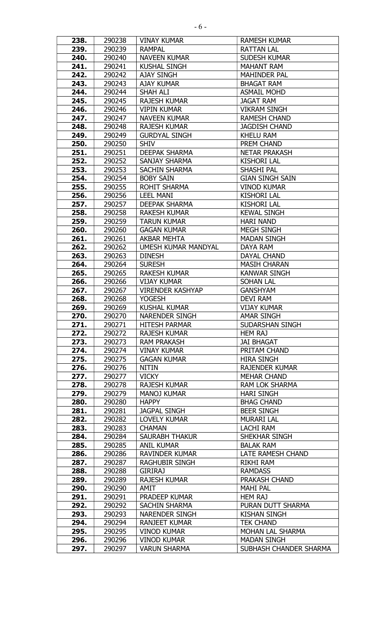| 238.         | 290238           | <b>VINAY KUMAR</b>                            | <b>RAMESH KUMAR</b>               |
|--------------|------------------|-----------------------------------------------|-----------------------------------|
| 239.         | 290239           | <b>RAMPAL</b>                                 | <b>RATTAN LAL</b>                 |
| 240.         | 290240           | <b>NAVEEN KUMAR</b>                           | <b>SUDESH KUMAR</b>               |
| 241.         | 290241           | <b>KUSHAL SINGH</b>                           | <b>MAHANT RAM</b>                 |
| 242.         | 290242           | <b>AJAY SINGH</b>                             | <b>MAHINDER PAL</b>               |
| 243.         | 290243           | <b>AJAY KUMAR</b>                             | <b>BHAGAT RAM</b>                 |
| 244.         | 290244           | SHAH ALI                                      | <b>ASMAIL MOHD</b>                |
| 245.         | 290245           | <b>RAJESH KUMAR</b>                           | <b>JAGAT RAM</b>                  |
| 246.         | 290246           | <b>VIPIN KUMAR</b>                            | <b>VIKRAM SINGH</b>               |
| 247.         | 290247           | <b>NAVEEN KUMAR</b>                           | <b>RAMESH CHAND</b>               |
| 248.         | 290248           | <b>RAJESH KUMAR</b>                           | <b>JAGDISH CHAND</b>              |
| 249.         | 290249           | <b>GURDYAL SINGH</b>                          | <b>KHELU RAM</b>                  |
| 250.         | 290250           | <b>SHIV</b>                                   | PREM CHAND                        |
| 251.         | 290251           | <b>DEEPAK SHARMA</b>                          | <b>NETAR PRAKASH</b>              |
| 252.         | 290252           | SANJAY SHARMA                                 | <b>KISHORI LAL</b>                |
| 253.         | 290253           | <b>SACHIN SHARMA</b>                          | SHASHI PAL                        |
| 254.         | 290254           | <b>BOBY SAIN</b>                              | <b>GIAN SINGH SAIN</b>            |
| 255.         | 290255           | <b>ROHIT SHARMA</b>                           | <b>VINOD KUMAR</b>                |
| 256.         | 290256           | <b>LEEL MANI</b>                              | <b>KISHORI LAL</b>                |
| 257.         | 290257           | <b>DEEPAK SHARMA</b>                          | <b>KISHORI LAL</b>                |
| 258.         | 290258           | <b>RAKESH KUMAR</b>                           | <b>KEWAL SINGH</b>                |
| 259.         | 290259           | <b>TARUN KUMAR</b>                            | <b>HARI NAND</b>                  |
| 260.         | 290260           | <b>GAGAN KUMAR</b>                            | <b>MEGH SINGH</b>                 |
| 261.         | 290261           | AKBAR MEHTA                                   | <b>MADAN SINGH</b>                |
| 262.         | 290262           | <b>UMESH KUMAR MANDYAL</b>                    | DAYA RAM                          |
| 263.         | 290263           | <b>DINESH</b>                                 | DAYAL CHAND                       |
|              | 290264           | <b>SURESH</b>                                 | <b>MASIH CHARAN</b>               |
| 264.<br>265. | 290265           | <b>RAKESH KUMAR</b>                           | <b>KANWAR SINGH</b>               |
|              |                  | <b>VIJAY KUMAR</b>                            |                                   |
| 266.         | 290266           |                                               | <b>SOHAN LAL</b>                  |
| 267.         | 290267           | <b>VIRENDER KASHYAP</b>                       | <b>GANSHYAM</b>                   |
| 268.         | 290268           | <b>YOGESH</b><br><b>KUSHAL KUMAR</b>          | DEVI RAM<br><b>VIJAY KUMAR</b>    |
| 269.<br>270. | 290269<br>290270 |                                               |                                   |
|              |                  | <b>NARENDER SINGH</b><br><b>HITESH PARMAR</b> | <b>AMAR SINGH</b>                 |
| 271.<br>272. | 290271<br>290272 | <b>RAJESH KUMAR</b>                           | SUDARSHAN SINGH<br><b>HEM RAJ</b> |
|              |                  |                                               |                                   |
| 273.         | 290273           | <b>RAM PRAKASH</b>                            | <b>JAI BHAGAT</b>                 |
| 274.         | 290274           | <b>VINAY KUMAR</b>                            | PRITAM CHAND                      |
| 275.         | 290275           | <b>GAGAN KUMAR</b>                            | <b>HIRA SINGH</b>                 |
| 276.         | 290276           | NITIN                                         | <b>RAJENDER KUMAR</b>             |
| 277.         | 290277           | <b>VICKY</b>                                  | <b>MEHAR CHAND</b>                |
| 278.         | 290278           | <b>RAJESH KUMAR</b>                           | <b>RAM LOK SHARMA</b>             |
| 279.         | 290279           | <b>MANOJ KUMAR</b>                            | <b>HARI SINGH</b>                 |
| 280.         | 290280           | <b>HAPPY</b>                                  | <b>BHAG CHAND</b>                 |
| 281.         | 290281           | <b>JAGPAL SINGH</b>                           | <b>BEER SINGH</b>                 |
| 282.         | 290282           | <b>LOVELY KUMAR</b>                           | <b>MURARI LAL</b>                 |
| 283.         | 290283           | <b>CHAMAN</b>                                 | LACHI RAM                         |
| 284.         | 290284           | <b>SAURABH THAKUR</b>                         | SHEKHAR SINGH                     |
| 285.         | 290285           | <b>ANIL KUMAR</b>                             | <b>BALAK RAM</b>                  |
| 286.         | 290286           | <b>RAVINDER KUMAR</b>                         | <b>LATE RAMESH CHAND</b>          |
| 287.         | 290287           | RAGHUBIR SINGH                                | RIKHI RAM                         |
| 288.         | 290288           | <b>GIRIRAJ</b>                                | <b>RAMDASS</b>                    |
| 289.         | 290289           | <b>RAJESH KUMAR</b>                           | <b>PRAKASH CHAND</b>              |
| 290.         | 290290           | AMIT                                          | <b>MAHI PAL</b>                   |
| 291.         | 290291           | PRADEEP KUMAR                                 | <b>HEM RAJ</b>                    |
| 292.         | 290292           | SACHIN SHARMA                                 | PURAN DUTT SHARMA                 |
| 293.         | 290293           | <b>NARENDER SINGH</b>                         | <b>KISHAN SINGH</b>               |
| 294.         | 290294           | <b>RANJEET KUMAR</b>                          | <b>TEK CHAND</b>                  |
| 295.         | 290295           | <b>VINOD KUMAR</b>                            | MOHAN LAL SHARMA                  |
| 296.         | 290296           | <b>VINOD KUMAR</b>                            | <b>MADAN SINGH</b>                |
| 297.         | 290297           | <b>VARUN SHARMA</b>                           | SUBHASH CHANDER SHARMA            |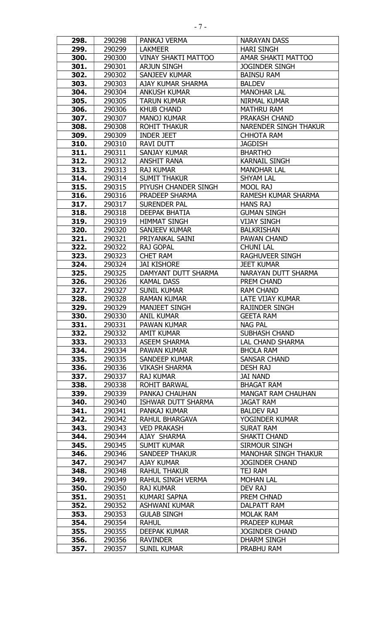| 298. | 290298 | PANKAJ VERMA               | <b>NARAYAN DASS</b>          |
|------|--------|----------------------------|------------------------------|
| 299. | 290299 | <b>LAKMEER</b>             | <b>HARI SINGH</b>            |
| 300. | 290300 | <b>VINAY SHAKTI MATTOO</b> | AMAR SHAKTI MATTOO           |
| 301. | 290301 | <b>ARJUN SINGH</b>         | <b>JOGINDER SINGH</b>        |
| 302. | 290302 | <b>SANJEEV KUMAR</b>       | <b>BAINSU RAM</b>            |
| 303. | 290303 | AJAY KUMAR SHARMA          | <b>BALDEV</b>                |
| 304. | 290304 | <b>ANKUSH KUMAR</b>        | <b>MANOHAR LAL</b>           |
| 305. | 290305 | <b>TARUN KUMAR</b>         | <b>NIRMAL KUMAR</b>          |
| 306. | 290306 | <b>KHUB CHAND</b>          | <b>MATHRU RAM</b>            |
| 307. | 290307 | <b>MANOJ KUMAR</b>         | PRAKASH CHAND                |
| 308. | 290308 | <b>ROHIT THAKUR</b>        | <b>NARENDER SINGH THAKUR</b> |
| 309. | 290309 | <b>INDER JEET</b>          | <b>CHHOTA RAM</b>            |
| 310. | 290310 | RAVI DUTT                  | <b>JAGDISH</b>               |
| 311. | 290311 | <b>SANJAY KUMAR</b>        | <b>BHARTHO</b>               |
| 312. | 290312 | <b>ANSHIT RANA</b>         | <b>KARNAIL SINGH</b>         |
| 313. | 290313 | <b>RAJ KUMAR</b>           | <b>MANOHAR LAL</b>           |
| 314. | 290314 | <b>SUMIT THAKUR</b>        | <b>SHYAM LAL</b>             |
| 315. | 290315 | PIYUSH CHANDER SINGH       | MOOL RAJ                     |
| 316. | 290316 | PRADEEP SHARMA             | RAMESH KUMAR SHARMA          |
| 317. | 290317 | <b>SURENDER PAL</b>        | <b>HANS RAJ</b>              |
| 318. | 290318 | <b>DEEPAK BHATIA</b>       | <b>GUMAN SINGH</b>           |
| 319. | 290319 | <b>HIMMAT SINGH</b>        | <b>VIJAY SINGH</b>           |
| 320. | 290320 | SANJEEV KUMAR              | <b>BALKRISHAN</b>            |
| 321. | 290321 | PRIYANKAL SAINI            | PAWAN CHAND                  |
| 322. | 290322 | <b>RAJ GOPAL</b>           | <b>CHUNI LAL</b>             |
| 323. | 290323 | <b>CHET RAM</b>            | <b>RAGHUVEER SINGH</b>       |
| 324. | 290324 | <b>JAI KISHORE</b>         | <b>JEET KUMAR</b>            |
| 325. | 290325 | DAMYANT DUTT SHARMA        | NARAYAN DUTT SHARMA          |
| 326. | 290326 | <b>KAMAL DASS</b>          | PREM CHAND                   |
| 327. | 290327 | <b>SUNIL KUMAR</b>         | <b>RAM CHAND</b>             |
| 328. | 290328 | <b>RAMAN KUMAR</b>         | LATE VIJAY KUMAR             |
| 329. | 290329 | <b>MANJEET SINGH</b>       | <b>RAJINDER SINGH</b>        |
| 330. | 290330 | <b>ANIL KUMAR</b>          | <b>GEETA RAM</b>             |
| 331. | 290331 | PAWAN KUMAR                | NAG PAL                      |
| 332. | 290332 | <b>AMIT KUMAR</b>          | <b>SUBHASH CHAND</b>         |
| 333. | 290333 | <b>ASEEM SHARMA</b>        | <b>LAL CHAND SHARMA</b>      |
| 334. | 290334 | PAWAN KUMAR                | <b>BHOLA RAM</b>             |
| 335. | 290335 | SANDEEP KUMAR              | <b>SANSAR CHAND</b>          |
| 336. | 290336 | <b>VIKASH SHARMA</b>       | <b>DESH RAJ</b>              |
| 337. | 290337 | <b>RAJ KUMAR</b>           | JAI NAND                     |
| 338. | 290338 | ROHIT BARWAL               | <b>BHAGAT RAM</b>            |
| 339. | 290339 | PANKAJ CHAUHAN             | <b>MANGAT RAM CHAUHAN</b>    |
| 340. | 290340 | ISHWAR DUTT SHARMA         | <b>JAGAT RAM</b>             |
| 341. | 290341 | PANKAJ KUMAR               | <b>BALDEV RAJ</b>            |
| 342. | 290342 | RAHUL BHARGAVA             | YOGINDER KUMAR               |
| 343. | 290343 | <b>VED PRAKASH</b>         | <b>SURAT RAM</b>             |
| 344. | 290344 | AJAY SHARMA                | SHAKTI CHAND                 |
| 345. | 290345 | <b>SUMIT KUMAR</b>         | SIRMOUR SINGH                |
| 346. | 290346 | <b>SANDEEP THAKUR</b>      | <b>MANOHAR SINGH THAKUR</b>  |
| 347. | 290347 | AJAY KUMAR                 | <b>JOGINDER CHAND</b>        |
| 348. | 290348 | <b>RAHUL THAKUR</b>        | TEJ RAM                      |
| 349. | 290349 | RAHUL SINGH VERMA          | <b>MOHAN LAL</b>             |
| 350. | 290350 | <b>RAJ KUMAR</b>           | DEV RAJ                      |
| 351. | 290351 | <b>KUMARI SAPNA</b>        | PREM CHNAD                   |
| 352. | 290352 | ASHWANI KUMAR              | DALPATT RAM                  |
| 353. | 290353 | <b>GULAB SINGH</b>         | <b>MOLAK RAM</b>             |
| 354. | 290354 | <b>RAHUL</b>               | PRADEEP KUMAR                |
| 355. | 290355 | <b>DEEPAK KUMAR</b>        | <b>JOGINDER CHAND</b>        |
| 356. | 290356 | <b>RAVINDER</b>            | DHARM SINGH                  |
| 357. | 290357 | <b>SUNIL KUMAR</b>         | PRABHU RAM                   |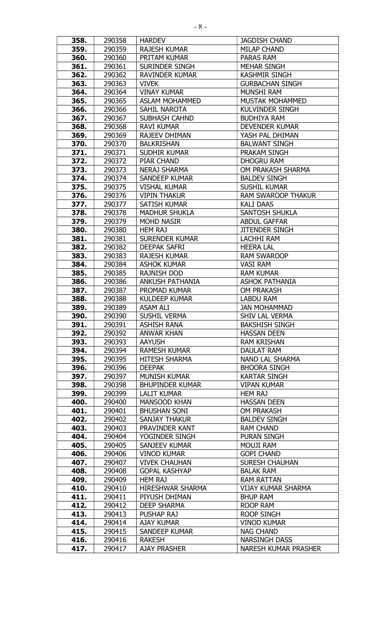| 358.         | 290358           | <b>HARDEV</b>                             | <b>JAGDISH CHAND</b>                   |
|--------------|------------------|-------------------------------------------|----------------------------------------|
| 359.         | 290359           | <b>RAJESH KUMAR</b>                       | <b>MILAP CHAND</b>                     |
| 360.         | 290360           | PRITAM KUMAR                              | PARAS RAM                              |
| 361.         | 290361           | SURINDER SINGH                            | <b>MEHAR SINGH</b>                     |
| 362.         | 290362           | <b>RAVINDER KUMAR</b>                     | <b>KASHMIR SINGH</b>                   |
| 363.         | 290363           | <b>VIVEK</b>                              | <b>GURBACHAN SINGH</b>                 |
| 364.         | 290364           | <b>VINAY KUMAR</b>                        | <b>MUNSHI RAM</b>                      |
| 365.         | 290365           | <b>ASLAM MOHAMMED</b>                     | <b>MUSTAK MOHAMMED</b>                 |
| 366.         | 290366           | SAHIL NAROTA                              | <b>KULVINDER SINGH</b>                 |
| 367.         | 290367           | <b>SUBHASH CAHND</b>                      | <b>BUDHIYA RAM</b>                     |
| 368.         | 290368           | <b>RAVI KUMAR</b>                         | <b>DEVENDER KUMAR</b>                  |
| 369.         | 290369           | <b>RAJEEV DHIMAN</b>                      | YASH PAL DHIMAN                        |
| 370.         | 290370           | <b>BALKRISHAN</b>                         | <b>BALWANT SINGH</b>                   |
| 371.         | 290371           | <b>SUDHIR KUMAR</b>                       | PRAKAM SINGH                           |
| 372.         | 290372           | <b>PIAR CHAND</b>                         | <b>DHOGRU RAM</b>                      |
| 373.         | 290373           | <b>NERAJ SHARMA</b>                       | OM PRAKASH SHARMA                      |
| 374.         | 290374           | <b>SANDEEP KUMAR</b>                      | <b>BALDEV SINGH</b>                    |
| 375.         | 290375           | <b>VISHAL KUMAR</b>                       | <b>SUSHIL KUMAR</b>                    |
| 376.         | 290376           | <b>VIPIN THAKUR</b>                       | <b>RAM SWAROOP THAKUR</b>              |
| 377.         | 290377           | SATISH KUMAR                              | <b>KALI DAAS</b>                       |
| 378.         | 290378           | <b>MADHUR SHUKLA</b>                      | <b>SANTOSH SHUKLA</b>                  |
| 379.         | 290379           | <b>MOHD NASIR</b>                         | <b>ABDUL GAFFAR</b>                    |
| 380.         | 290380           | <b>HEM RAJ</b>                            | <b>JITENDER SINGH</b>                  |
| 381.         | 290381           | <b>SURENDER KUMAR</b>                     | <b>LACHHI RAM</b>                      |
| 382.         | 290382           | <b>DEEPAK SAFRI</b>                       | <b>HEERA LAL</b>                       |
| 383.         | 290383           | <b>RAJESH KUMAR</b>                       | <b>RAM SWAROOP</b>                     |
| 384.         | 290384           | <b>ASHOK KUMAR</b>                        | <b>VASI RAM</b>                        |
| 385.         | 290385           | <b>RAJNISH DOD</b>                        | <b>RAM KUMAR</b>                       |
| 386.         | 290386           | <b>ANKUSH PATHANIA</b>                    | <b>ASHOK PATHANIA</b>                  |
| 387.         | 290387           | PROMAD KUMAR                              | <b>OM PRAKASH</b>                      |
| 388.         | 290388           | <b>KULDEEP KUMAR</b>                      | <b>LABDU RAM</b>                       |
|              |                  |                                           |                                        |
| 389.         | 290389           | <b>ASAM ALI</b>                           | <b>JAN MOHAMMAD</b>                    |
| 390.         | 290390           | SUSHIL VERMA                              | SHIV LAL VERMA                         |
| 391.         | 290391           | ASHISH RANA                               | <b>BAKSHISH SINGH</b>                  |
| 392.         | 290392           | <b>ANWAR KHAN</b>                         | <b>HASSAN DEEN</b>                     |
| 393.         | 290393           | <b>AAYUSH</b>                             | <b>RAM KRISHAN</b>                     |
| 394.         | 290394           | <b>RAMESH KUMAR</b>                       | DAULAT RAM                             |
| 395.         | 290395           | <b>HITESH SHARMA</b>                      | NAND LAL SHARMA                        |
| 396.         | 290396           | <b>DEEPAK</b>                             | <b>BHOORA SINGH</b>                    |
| 397.         | 290397           | MUNISH KUMAR                              | <b>KARTAR SINGH</b>                    |
| 398.         | 290398           | <b>BHUPINDER KUMAR</b>                    | <b>VIPAN KUMAR</b>                     |
| 399.         | 290399           | <b>LALIT KUMAR</b>                        | <b>HEM RAJ</b>                         |
| 400.         | 290400           | <b>MANSOOD KHAN</b>                       | <b>HASSAN DEEN</b>                     |
| 401.         | 290401           | <b>BHUSHAN SONI</b>                       | <b>OM PRAKASH</b>                      |
| 402.         | 290402           | <b>SANJAY THAKUR</b>                      | <b>BALDEV SINGH</b>                    |
| 403.         | 290403           | PRAVINDER KANT                            | <b>RAM CHAND</b>                       |
| 404.         | 290404           | YOGINDER SINGH                            | <b>PURAN SINGH</b>                     |
| 405.         | 290405           | SANJEEV KUMAR                             | <b>MOUJI RAM</b>                       |
| 406.         | 290406           | <b>VINOD KUMAR</b>                        | <b>GOPI CHAND</b>                      |
| 407.         | 290407           | <b>VIVEK CHAUHAN</b>                      | <b>SURESH CHAUHAN</b>                  |
| 408.         | 290408           | <b>GOPAL KASHYAP</b>                      | <b>BALAK RAM</b>                       |
| 409.         | 290409           | <b>HEM RAJ</b>                            | <b>RAM RATTAN</b>                      |
| 410.         | 290410           | HIRESHWAR SHARMA                          | VIJAY KUMAR SHARMA                     |
| 411.         | 290411           | PIYUSH DHIMAN                             | <b>BHUP RAM</b>                        |
| 412.         | 290412           | <b>DEEP SHARMA</b>                        | ROOP RAM                               |
| 413.         | 290413           | PUSHAP RAJ                                | <b>ROOP SINGH</b>                      |
| 414.<br>415. | 290414           | <b>AJAY KUMAR</b><br><b>SANDEEP KUMAR</b> | <b>VINOD KUMAR</b><br><b>NAG CHAND</b> |
| 416.         | 290415<br>290416 | <b>RAKESH</b>                             | <b>NARSINGH DASS</b>                   |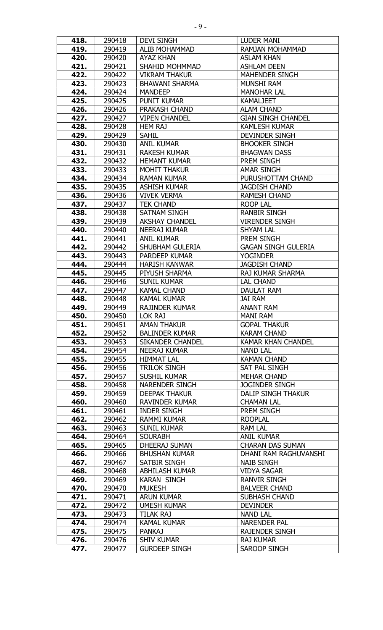| 418. | 290418 | <b>DEVI SINGH</b>       | <b>LUDER MANI</b>          |
|------|--------|-------------------------|----------------------------|
| 419. | 290419 | <b>ALIB MOHAMMAD</b>    | RAMJAN MOHAMMAD            |
| 420. | 290420 | <b>AYAZ KHAN</b>        | <b>ASLAM KHAN</b>          |
| 421. | 290421 | <b>SHAHID MOHMMAD</b>   | <b>ASHLAM DEEN</b>         |
| 422. | 290422 | <b>VIKRAM THAKUR</b>    | <b>MAHENDER SINGH</b>      |
| 423. | 290423 | <b>BHAWANI SHARMA</b>   | <b>MUNSHI RAM</b>          |
| 424. | 290424 | <b>MANDEEP</b>          | <b>MANOHAR LAL</b>         |
| 425. | 290425 | <b>PUNIT KUMAR</b>      | <b>KAMALJEET</b>           |
| 426. | 290426 | PRAKASH CHAND           | <b>ALAM CHAND</b>          |
| 427. | 290427 | <b>VIPEN CHANDEL</b>    | <b>GIAN SINGH CHANDEL</b>  |
| 428. | 290428 | <b>HEM RAJ</b>          | <b>KAMLESH KUMAR</b>       |
| 429. | 290429 | <b>SAHIL</b>            | <b>DEVINDER SINGH</b>      |
| 430. | 290430 | <b>ANIL KUMAR</b>       | <b>BHOOKER SINGH</b>       |
| 431. | 290431 | <b>RAKESH KUMAR</b>     | <b>BHAGWAN DASS</b>        |
| 432. | 290432 | <b>HEMANT KUMAR</b>     | PREM SINGH                 |
| 433. | 290433 | <b>MOHIT THAKUR</b>     | <b>AMAR SINGH</b>          |
| 434. | 290434 | <b>RAMAN KUMAR</b>      | PURUSHOTTAM CHAND          |
| 435. | 290435 | <b>ASHISH KUMAR</b>     | <b>JAGDISH CHAND</b>       |
| 436. | 290436 | <b>VIVEK VERMA</b>      | <b>RAMESH CHAND</b>        |
| 437. | 290437 | <b>TEK CHAND</b>        | <b>ROOP LAL</b>            |
| 438. | 290438 | <b>SATNAM SINGH</b>     | <b>RANBIR SINGH</b>        |
| 439. | 290439 | <b>AKSHAY CHANDEL</b>   | <b>VIRENDER SINGH</b>      |
| 440. | 290440 | <b>NEERAJ KUMAR</b>     | <b>SHYAM LAL</b>           |
|      | 290441 |                         | PREM SINGH                 |
| 441. |        | <b>ANIL KUMAR</b>       |                            |
| 442. | 290442 | <b>SHUBHAM GULERIA</b>  | <b>GAGAN SINGH GULERIA</b> |
| 443. | 290443 | <b>PARDEEP KUMAR</b>    | <b>YOGINDER</b>            |
| 444. | 290444 | <b>HARISH KANWAR</b>    | <b>JAGDISH CHAND</b>       |
| 445. | 290445 | PIYUSH SHARMA           | <b>RAJ KUMAR SHARMA</b>    |
| 446. | 290446 | <b>SUNIL KUMAR</b>      | LAL CHAND                  |
| 447. | 290447 | <b>KAMAL CHAND</b>      | <b>DAULAT RAM</b>          |
| 448. | 290448 | <b>KAMAL KUMAR</b>      | <b>JAI RAM</b>             |
| 449. | 290449 | <b>RAJINDER KUMAR</b>   | <b>ANANT RAM</b>           |
| 450. | 290450 | LOK RAJ                 | MANI RAM                   |
| 451. | 290451 | <b>AMAN THAKUR</b>      | <b>GOPAL THAKUR</b>        |
| 452. | 290452 | <b>BALINDER KUMAR</b>   | <b>KARAM CHAND</b>         |
| 453. | 290453 | <b>SIKANDER CHANDEL</b> | <b>KAMAR KHAN CHANDEL</b>  |
| 454. | 290454 | <b>NEERAJ KUMAR</b>     | <b>NAND LAL</b>            |
| 455. | 290455 | <b>HIMMAT LAL</b>       | <b>KAMAN CHAND</b>         |
| 456. | 290456 | <b>TRILOK SINGH</b>     | SAT PAL SINGH              |
| 457. | 290457 | SUSHIL KUMAR            | <b>MEHAR CHAND</b>         |
| 458. | 290458 | NARENDER SINGH          | <b>JOGINDER SINGH</b>      |
| 459. | 290459 | <b>DEEPAK THAKUR</b>    | DALIP SINGH THAKUR         |
| 460. | 290460 | <b>RAVINDER KUMAR</b>   | <b>CHAMAN LAL</b>          |
| 461. | 290461 | <b>INDER SINGH</b>      | PREM SINGH                 |
| 462. | 290462 | <b>RAMMI KUMAR</b>      | <b>ROOPLAL</b>             |
| 463. | 290463 | SUNIL KUMAR             | <b>RAM LAL</b>             |
| 464. | 290464 | <b>SOURABH</b>          | <b>ANIL KUMAR</b>          |
| 465. | 290465 | DHEERAJ SUMAN           | <b>CHARAN DAS SUMAN</b>    |
| 466. | 290466 | <b>BHUSHAN KUMAR</b>    | DHANI RAM RAGHUVANSHI      |
| 467. | 290467 | SATBIR SINGH            | <b>NAIB SINGH</b>          |
| 468. | 290468 | <b>ABHILASH KUMAR</b>   | <b>VIDYA SAGAR</b>         |
| 469. | 290469 | <b>KARAN SINGH</b>      | <b>RANVIR SINGH</b>        |
| 470. | 290470 | <b>MUKESH</b>           | <b>BALVEER CHAND</b>       |
| 471. | 290471 | <b>ARUN KUMAR</b>       | <b>SUBHASH CHAND</b>       |
| 472. | 290472 | <b>UMESH KUMAR</b>      | <b>DEVINDER</b>            |
| 473. | 290473 | TILAK RAJ               | <b>NAND LAL</b>            |
| 474. | 290474 | <b>KAMAL KUMAR</b>      | <b>NARENDER PAL</b>        |
| 475. | 290475 | <b>PANKAJ</b>           | <b>RAJENDER SINGH</b>      |
| 476. | 290476 | <b>SHIV KUMAR</b>       | <b>RAJ KUMAR</b>           |
| 477. | 290477 | <b>GURDEEP SINGH</b>    | SAROOP SINGH               |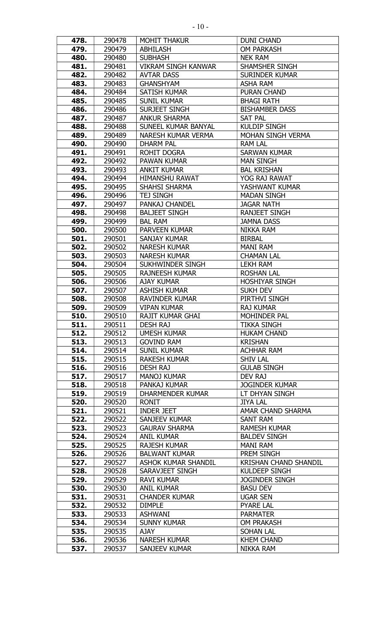| 478.         | 290478           | <b>MOHIT THAKUR</b>        | DUNI CHAND                       |
|--------------|------------------|----------------------------|----------------------------------|
| 479.         | 290479           | <b>ABHILASH</b>            | <b>OM PARKASH</b>                |
| 480.         | 290480           | <b>SUBHASH</b>             | <b>NEK RAM</b>                   |
| 481.         | 290481           | <b>VIKRAM SINGH KANWAR</b> | SHAMSHER SINGH                   |
| 482.         | 290482           | <b>AVTAR DASS</b>          | <b>SURINDER KUMAR</b>            |
| 483.         | 290483           | <b>GHANSHYAM</b>           | <b>ASHA RAM</b>                  |
| 484.         | 290484           | <b>SATISH KUMAR</b>        | PURAN CHAND                      |
| 485.         | 290485           | <b>SUNIL KUMAR</b>         | <b>BHAGI RATH</b>                |
| 486.         | 290486           | <b>SURJEET SINGH</b>       | <b>BISHAMBER DASS</b>            |
| 487.         | 290487           | <b>ANKUR SHARMA</b>        | <b>SAT PAL</b>                   |
| 488.         | 290488           | SUNEEL KUMAR BANYAL        | <b>KULDIP SINGH</b>              |
| 489.         | 290489           | NARESH KUMAR VERMA         | MOHAN SINGH VERMA                |
| 490.         | 290490           | <b>DHARM PAL</b>           | <b>RAM LAL</b>                   |
| 491.         | 290491           | <b>ROHIT DOGRA</b>         | <b>SARWAN KUMAR</b>              |
| 492.         | 290492           | PAWAN KUMAR                | <b>MAN SINGH</b>                 |
| 493.         | 290493           | <b>ANKIT KUMAR</b>         | <b>BAL KRISHAN</b>               |
| 494.         | 290494           | <b>HIMANSHU RAWAT</b>      | YOG RAJ RAWAT                    |
| 495.         | 290495           | SHAHSI SHARMA              | YASHWANT KUMAR                   |
| 496.         | 290496           | <b>TEJ SINGH</b>           | <b>MADAN SINGH</b>               |
| 497.         | 290497           | <b>PANKAJ CHANDEL</b>      | <b>JAGAR NATH</b>                |
| 498.         | 290498           | <b>BALJEET SINGH</b>       | <b>RANJEET SINGH</b>             |
| 499.         | 290499           | <b>BAL RAM</b>             | <b>JAMNA DASS</b>                |
| 500.         | 290500           | <b>PARVEEN KUMAR</b>       | <b>NIKKA RAM</b>                 |
| 501.         | 290501           | <b>SANJAY KUMAR</b>        | <b>BIRBAL</b>                    |
| 502.         | 290502           | <b>NARESH KUMAR</b>        | <b>MANI RAM</b>                  |
| 503.         | 290503           | <b>NARESH KUMAR</b>        | <b>CHAMAN LAL</b>                |
| 504.         | 290504           | SUKHWINDER SINGH           | <b>LEKH RAM</b>                  |
| 505.         | 290505           | <b>RAJNEESH KUMAR</b>      | <b>ROSHAN LAL</b>                |
| 506.         | 290506           | <b>AJAY KUMAR</b>          | <b>HOSHIYAR SINGH</b>            |
|              |                  | <b>ASHISH KUMAR</b>        |                                  |
| 507.<br>508. | 290507<br>290508 | <b>RAVINDER KUMAR</b>      | <b>SUKH DEV</b><br>PIRTHVI SINGH |
| 509.         | 290509           | <b>VIPAN KUMAR</b>         | <b>RAJ KUMAR</b>                 |
| 510.         | 290510           | <b>RAJIT KUMAR GHAI</b>    | <b>MOHINDER PAL</b>              |
| 511.         | 290511           | DESH RAJ                   | <b>TIKKA SINGH</b>               |
| 512.         | 290512           | <b>UMESH KUMAR</b>         | <b>HUKAM CHAND</b>               |
| 513.         | 290513           | <b>GOVIND RAM</b>          | <b>KRISHAN</b>                   |
| 514.         | 290514           | <b>SUNIL KUMAR</b>         | <b>ACHHAR RAM</b>                |
| 515.         | 290515           | <b>RAKESH KUMAR</b>        | <b>SHIV LAL</b>                  |
|              |                  |                            | <b>GULAB SINGH</b>               |
| 516.         | 290516           | DESH RAJ                   |                                  |
| 517.         | 290517           | <b>MANOJ KUMAR</b>         | <b>DEV RAJ</b>                   |
| 518.<br>519. | 290518           | PANKAJ KUMAR               | <b>JOGINDER KUMAR</b>            |
|              | 290519           | DHARMENDER KUMAR           | LT DHYAN SINGH                   |
| 520.         | 290520           | RONIT                      | <b>JIYA LAL</b>                  |
| 521.         | 290521           | <b>INDER JEET</b>          | AMAR CHAND SHARMA                |
| 522.         | 290522           | SANJEEV KUMAR              | <b>SANT RAM</b>                  |
| 523.         | 290523           | <b>GAURAV SHARMA</b>       | <b>RAMESH KUMAR</b>              |
| 524.         | 290524           | <b>ANIL KUMAR</b>          | <b>BALDEV SINGH</b>              |
| 525.         | 290525           | <b>RAJESH KUMAR</b>        | <b>MANI RAM</b>                  |
| 526.         | 290526           | <b>BALWANT KUMAR</b>       | PREM SINGH                       |
| 527.         | 290527           | <b>ASHOK KUMAR SHANDIL</b> | <b>KRISHAN CHAND SHANDIL</b>     |
| 528.         | 290528           | SARAVJEET SINGH            | <b>KULDEEP SINGH</b>             |
| 529.         | 290529           | <b>RAVI KUMAR</b>          | <b>JOGINDER SINGH</b>            |
| 530.         | 290530           | <b>ANIL KUMAR</b>          | <b>BASU DEV</b>                  |
| 531.         | 290531           | <b>CHANDER KUMAR</b>       | <b>UGAR SEN</b>                  |
| 532.         | 290532           | <b>DIMPLE</b>              | <b>PYARE LAL</b>                 |
| 533.         | 290533           | <b>ASHWANI</b>             | <b>PARMATER</b>                  |
| 534.         | 290534           | <b>SUNNY KUMAR</b>         | <b>OM PRAKASH</b>                |
| 535.         | 290535           | AJAY                       | <b>SOHAN LAL</b>                 |
| 536.         | 290536           | <b>NARESH KUMAR</b>        | <b>KHEM CHAND</b>                |
| 537.         | 290537           | SANJEEV KUMAR              | <b>NIKKA RAM</b>                 |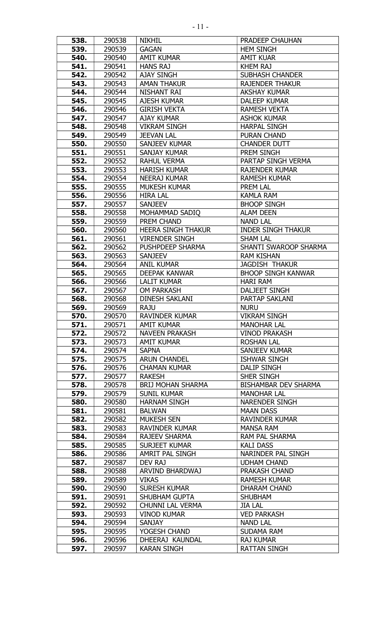| 538.         | 290538           | <b>NIKHIL</b>                             | <b>PRADEEP CHAUHAN</b>                            |
|--------------|------------------|-------------------------------------------|---------------------------------------------------|
| 539.         | 290539           | <b>GAGAN</b>                              | <b>HEM SINGH</b>                                  |
| 540.         | 290540           | <b>AMIT KUMAR</b>                         | <b>AMIT KUAR</b>                                  |
| 541.         | 290541           | <b>HANS RAJ</b>                           | <b>KHEM RAJ</b>                                   |
| 542.         | 290542           | <b>AJAY SINGH</b>                         | <b>SUBHASH CHANDER</b>                            |
| 543.         | 290543           | <b>AMAN THAKUR</b>                        | <b>RAJENDER THAKUR</b>                            |
| 544.         | 290544           | NISHANT RAI                               | <b>AKSHAY KUMAR</b>                               |
| 545.         | 290545           | <b>AJESH KUMAR</b>                        | <b>DALEEP KUMAR</b>                               |
| 546.         | 290546           | <b>GIRISH VEKTA</b>                       | <b>RAMESH VEKTA</b>                               |
| 547.         | 290547           | <b>AJAY KUMAR</b>                         | <b>ASHOK KUMAR</b>                                |
| 548.         | 290548           | <b>VIKRAM SINGH</b>                       | <b>HARPAL SINGH</b>                               |
| 549.         | 290549           | <b>JEEVAN LAL</b>                         | <b>PURAN CHAND</b>                                |
| 550.         | 290550           | SANJEEV KUMAR                             | <b>CHANDER DUTT</b>                               |
| 551.         | 290551           | SANJAY KUMAR                              | PREM SINGH                                        |
| 552.         | 290552           | <b>RAHUL VERMA</b>                        | PARTAP SINGH VERMA                                |
| 553.         | 290553           | <b>HARISH KUMAR</b>                       | <b>RAJENDER KUMAR</b>                             |
| 554.         | 290554           | <b>NEERAJ KUMAR</b>                       | <b>RAMESH KUMAR</b>                               |
| 555.         | 290555           | <b>MUKESH KUMAR</b>                       | <b>PREM LAL</b>                                   |
| 556.         | 290556           | <b>HIRA LAL</b>                           | <b>KAMLA RAM</b>                                  |
| 557.         | 290557           | <b>SANJEEV</b>                            | <b>BHOOP SINGH</b>                                |
| 558.         | 290558           | MOHAMMAD SADIO                            | <b>ALAM DEEN</b>                                  |
| 559.         | 290559           | PREM CHAND                                | <b>NAND LAL</b>                                   |
| 560.         | 290560           | <b>HEERA SINGH THAKUR</b>                 | <b>INDER SINGH THAKUR</b>                         |
| 561.         | 290561           | <b>VIRENDER SINGH</b>                     | <b>SHAM LAL</b>                                   |
| 562.         | 290562           | PUSHPDEEP SHARMA                          | SHANTI SWAROOP SHARMA                             |
| 563.         | 290563           | <b>SANJEEV</b>                            | <b>RAM KISHAN</b>                                 |
| 564.         | 290564           | <b>ANIL KUMAR</b>                         | <b>JAGDISH THAKUR</b>                             |
| 565.         | 290565           | <b>DEEPAK KANWAR</b>                      | <b>BHOOP SINGH KANWAR</b>                         |
| 566.         | 290566           | <b>LALIT KUMAR</b>                        | <b>HARI RAM</b>                                   |
| 567.         | 290567           | <b>OM PARKASH</b>                         | <b>DALJEET SINGH</b>                              |
| 568.         | 290568           | <b>DINESH SAKLANI</b>                     | PARTAP SAKLANI                                    |
| 569.         | 290569           | <b>RAJU</b>                               | <b>NURU</b>                                       |
| 570.         | 290570           | RAVINDER KUMAR                            | <b>VIKRAM SINGH</b>                               |
| 571.         | 290571           | <b>AMIT KUMAR</b>                         | <b>MANOHAR LAL</b>                                |
| 572.         | 290572           | <b>NAVEEN PRAKASH</b>                     | <b>VINOD PRAKASH</b>                              |
| 573.         | 290573           | <b>AMIT KUMAR</b>                         | <b>ROSHAN LAL</b>                                 |
| 574.         | 290574           | <b>SAPNA</b>                              | SANJEEV KUMAR                                     |
| 575.         | 290575           | <b>ARUN CHANDEL</b>                       | <b>ISHWAR SINGH</b>                               |
| 576.         | 290576           | <b>CHAMAN KUMAR</b>                       | <b>DALIP SINGH</b>                                |
| 577.         | 290577           | <b>RAKESH</b>                             | SHER SINGH                                        |
| 578.         | 290578           | <b>BRIJ MOHAN SHARMA</b>                  | <b>BISHAMBAR DEV SHARMA</b><br><b>MANOHAR LAL</b> |
| 579.         | 290579           | <b>SUNIL KUMAR</b><br><b>HARNAM SINGH</b> | <b>NARENDER SINGH</b>                             |
| 580.<br>581. | 290580<br>290581 | <b>BALWAN</b>                             | <b>MAAN DASS</b>                                  |
| 582.         | 290582           | <b>MUKESH SEN</b>                         | <b>RAVINDER KUMAR</b>                             |
| 583.         | 290583           | RAVINDER KUMAR                            | <b>MANSA RAM</b>                                  |
| 584.         | 290584           | RAJEEV SHARMA                             | RAM PAL SHARMA                                    |
| 585.         | 290585           | <b>SURJEET KUMAR</b>                      | KALI DASS                                         |
| 586.         | 290586           | AMRIT PAL SINGH                           | NARINDER PAL SINGH                                |
| 587.         | 290587           | DEV RAJ                                   | <b>UDHAM CHAND</b>                                |
| 588.         | 290588           | ARVIND BHARDWAJ                           | PRAKASH CHAND                                     |
| 589.         | 290589           | <b>VIKAS</b>                              | <b>RAMESH KUMAR</b>                               |
| 590.         | 290590           | SURESH KUMAR                              | <b>DHARAM CHAND</b>                               |
| 591.         | 290591           | <b>SHUBHAM GUPTA</b>                      | <b>SHUBHAM</b>                                    |
| 592.         | 290592           | <b>CHUNNI LAL VERMA</b>                   | <b>JIA LAL</b>                                    |
| 593.         | 290593           | <b>VINOD KUMAR</b>                        | <b>VED PARKASH</b>                                |
| 594.         | 290594           | SANJAY                                    | <b>NAND LAL</b>                                   |
| 595.         | 290595           | YOGESH CHAND                              | SUDAMA RAM                                        |
| 596.         | 290596           | DHEERAJ KAUNDAL                           | <b>RAJ KUMAR</b>                                  |
| 597.         | 290597           | <b>KARAN SINGH</b>                        | <b>RATTAN SINGH</b>                               |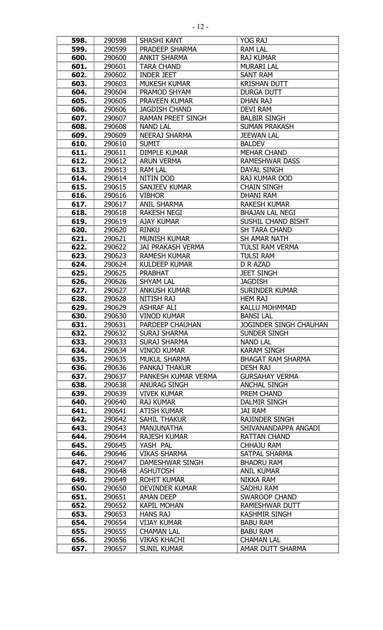| 598. | 290598 | SHASHI KANT              | YOG RAJ                       |
|------|--------|--------------------------|-------------------------------|
| 599. | 290599 | PRADEEP SHARMA           | <b>RAM LAL</b>                |
| 600. | 290600 | <b>ANKIT SHARMA</b>      | <b>RAJ KUMAR</b>              |
| 601. | 290601 | <b>TARA CHAND</b>        | <b>MURARI LAL</b>             |
| 602. | 290602 | <b>INDER JEET</b>        | <b>SANT RAM</b>               |
| 603. | 290603 | <b>MUKESH KUMAR</b>      | <b>KRISHAN DUTT</b>           |
| 604. | 290604 | PRAMOD SHYAM             | <b>DURGA DUTT</b>             |
| 605. | 290605 | PRAVEEN KUMAR            | <b>DHAN RAJ</b>               |
| 606. | 290606 | <b>JAGDISH CHAND</b>     | <b>DEVI RAM</b>               |
| 607. | 290607 | <b>RAMAN PREET SINGH</b> | <b>BALBIR SINGH</b>           |
| 608. | 290608 | <b>NAND LAL</b>          | <b>SUMAN PRAKASH</b>          |
| 609. | 290609 | <b>NEERAJ SHARMA</b>     | <b>JEEWAN LAL</b>             |
| 610. | 290610 | <b>SUMIT</b>             | <b>BALDEV</b>                 |
| 611. | 290611 | <b>DIMPLE KUMAR</b>      | <b>MEHAR CHAND</b>            |
| 612. | 290612 | <b>ARUN VERMA</b>        | <b>RAMESHWAR DASS</b>         |
| 613. | 290613 | <b>RAM LAL</b>           | DAYAL SINGH                   |
| 614. | 290614 | NITIN DOD                | <b>RAJ KUMAR DOD</b>          |
| 615. |        | <b>SANJEEV KUMAR</b>     | <b>CHAIN SINGH</b>            |
|      | 290615 |                          |                               |
| 616. | 290616 | <b>VIBHOR</b>            | <b>DHANI RAM</b>              |
| 617. | 290617 | <b>ANIL SHARMA</b>       | <b>RAKESH KUMAR</b>           |
| 618. | 290618 | <b>RAKESH NEGI</b>       | <b>BHAJAN LAL NEGI</b>        |
| 619. | 290619 | <b>AJAY KUMAR</b>        | SUSHIL CHAND BISHT            |
| 620. | 290620 | <b>RINKU</b>             | <b>SH TARA CHAND</b>          |
| 621. | 290621 | <b>MUNISH KUMAR</b>      | <b>SH AMAR NATH</b>           |
| 622. | 290622 | <b>JAI PRAKASH VERMA</b> | <b>TULSI RAM VERMA</b>        |
| 623. | 290623 | <b>RAMESH KUMAR</b>      | <b>TULSI RAM</b>              |
| 624. | 290624 | <b>KULDEEP KUMAR</b>     | D R AZAD                      |
| 625. | 290625 | <b>PRABHAT</b>           | <b>JEET SINGH</b>             |
| 626. | 290626 | <b>SHYAM LAL</b>         | <b>JAGDISH</b>                |
| 627. | 290627 | <b>ANKUSH KUMAR</b>      | <b>SURINDER KUMAR</b>         |
| 628. | 290628 | <b>NITISH RAJ</b>        | <b>HEM RAJ</b>                |
| 629. | 290629 | <b>ASHRAF ALI</b>        | <b>KALLU MOHMMAD</b>          |
| 630. | 290630 | <b>VINOD KUMAR</b>       | <b>BANSI LAL</b>              |
| 631. | 290631 | PARDEEP CHAUHAN          | <b>JOGINDER SINGH CHAUHAN</b> |
| 632. | 290632 | <b>SURAJ SHARMA</b>      | SUNDER SINGH                  |
| 633. | 290633 | <b>SURAJ SHARMA</b>      | <b>NAND LAL</b>               |
| 634. | 290634 | <b>VINOD KUMAR</b>       | <b>KARAM SINGH</b>            |
| 635. | 290635 | <b>MUKUL SHARMA</b>      | <b>BHAGAT RAM SHARMA</b>      |
| 636. | 290636 | PANKAJ THAKUR            | <b>DESH RAJ</b>               |
| 637. | 290637 | PANKESH KUMAR VERMA      | <b>GURSAHAY VERMA</b>         |
| 638. | 290638 | <b>ANURAG SINGH</b>      | <b>ANCHAL SINGH</b>           |
| 639. | 290639 | <b>VIVEK KUMAR</b>       | PREM CHAND                    |
| 640. | 290640 | <b>RAJ KUMAR</b>         | DALMIR SINGH                  |
| 641. | 290641 | <b>ATISH KUMAR</b>       | JAI RAM                       |
| 642. | 290642 | <b>SAHIL THAKUR</b>      | <b>RAJINDER SINGH</b>         |
| 643. | 290643 | MANJUNATHA               | SHIVANANDAPPA ANGADI          |
| 644. | 290644 | <b>RAJESH KUMAR</b>      | <b>RATTAN CHAND</b>           |
| 645. | 290645 | YASH PAL                 | <b>CHHAJU RAM</b>             |
| 646. | 290646 | <b>VIKAS SHARMA</b>      | SATPAL SHARMA                 |
| 647. | 290647 | DAMESHWAR SINGH          | <b>BHADRU RAM</b>             |
| 648. | 290648 | <b>ASHUTOSH</b>          | <b>ANIL KUMAR</b>             |
| 649. | 290649 | <b>ROHIT KUMAR</b>       | NIKKA RAM                     |
| 650. | 290650 | DEVINDER KUMAR           | SADHU RAM                     |
| 651. | 290651 | AMAN DEEP                | SWAROOP CHAND                 |
| 652. | 290652 | <b>KAPIL MOHAN</b>       | <b>RAMESHWAR DUTT</b>         |
| 653. | 290653 | <b>HANS RAJ</b>          | <b>KASHMIR SINGH</b>          |
| 654. | 290654 | <b>VIJAY KUMAR</b>       | <b>BABU RAM</b>               |
| 655. | 290655 | <b>CHAMAN LAL</b>        | <b>BABU RAM</b>               |
| 656. | 290656 | <b>VIKAS KHACHI</b>      | <b>CHAMAN LAL</b>             |
| 657. | 290657 | <b>SUNIL KUMAR</b>       | AMAR DUTT SHARMA              |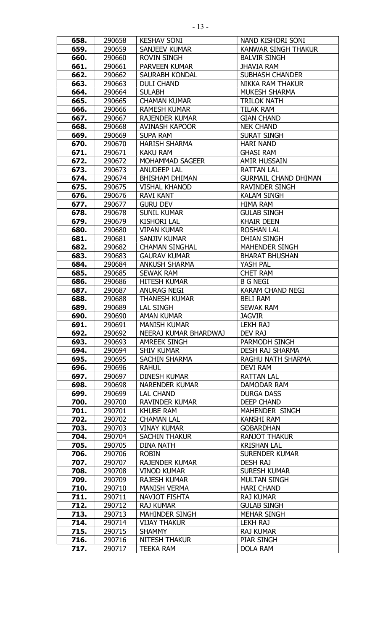| 658. | 290658 | <b>KESHAV SONI</b>    | NAND KISHORI SONI           |
|------|--------|-----------------------|-----------------------------|
| 659. | 290659 | SANJEEV KUMAR         | <b>KANWAR SINGH THAKUR</b>  |
| 660. | 290660 | <b>ROVIN SINGH</b>    | <b>BALVIR SINGH</b>         |
| 661. | 290661 | <b>PARVEEN KUMAR</b>  | <b>JHAVIA RAM</b>           |
| 662. | 290662 | <b>SAURABH KONDAL</b> | <b>SUBHASH CHANDER</b>      |
|      |        | <b>DULI CHAND</b>     | <b>NIKKA RAM THAKUR</b>     |
| 663. | 290663 |                       |                             |
| 664. | 290664 | <b>SULABH</b>         | <b>MUKESH SHARMA</b>        |
| 665. | 290665 | <b>CHAMAN KUMAR</b>   | <b>TRILOK NATH</b>          |
| 666. | 290666 | <b>RAMESH KUMAR</b>   | <b>TILAK RAM</b>            |
| 667. | 290667 | <b>RAJENDER KUMAR</b> | <b>GIAN CHAND</b>           |
| 668. | 290668 | <b>AVINASH KAPOOR</b> | <b>NEK CHAND</b>            |
| 669. | 290669 | <b>SUPA RAM</b>       | <b>SURAT SINGH</b>          |
| 670. | 290670 | <b>HARISH SHARMA</b>  | <b>HARI NAND</b>            |
| 671. | 290671 | <b>KAKU RAM</b>       | <b>GHASI RAM</b>            |
| 672. | 290672 | MOHAMMAD SAGEER       | <b>AMIR HUSSAIN</b>         |
| 673. | 290673 | <b>ANUDEEP LAL</b>    | <b>RATTAN LAL</b>           |
| 674. | 290674 | <b>BHISHAM DHIMAN</b> | <b>GURMAIL CHAND DHIMAN</b> |
| 675. | 290675 | <b>VISHAL KHANOD</b>  | <b>RAVINDER SINGH</b>       |
| 676. | 290676 | <b>RAVI KANT</b>      | <b>KALAM SINGH</b>          |
| 677. | 290677 | <b>GURU DEV</b>       | <b>HIMA RAM</b>             |
| 678. | 290678 | <b>SUNIL KUMAR</b>    | <b>GULAB SINGH</b>          |
| 679. | 290679 | <b>KISHORI LAL</b>    | <b>KHAIR DEEN</b>           |
| 680. | 290680 | <b>VIPAN KUMAR</b>    | <b>ROSHAN LAL</b>           |
| 681. | 290681 | SANJIV KUMAR          | <b>DHIAN SINGH</b>          |
| 682. | 290682 | <b>CHAMAN SINGHAL</b> | <b>MAHENDER SINGH</b>       |
| 683. | 290683 | <b>GAURAV KUMAR</b>   | <b>BHARAT BHUSHAN</b>       |
| 684. | 290684 | <b>ANKUSH SHARMA</b>  | YASH PAL                    |
| 685. | 290685 | <b>SEWAK RAM</b>      | <b>CHET RAM</b>             |
| 686. | 290686 | <b>HITESH KUMAR</b>   | <b>B G NEGI</b>             |
| 687. | 290687 | <b>ANURAG NEGI</b>    | <b>KARAM CHAND NEGI</b>     |
| 688. | 290688 | <b>THANESH KUMAR</b>  | <b>BELI RAM</b>             |
| 689. | 290689 | <b>LAL SINGH</b>      | <b>SEWAK RAM</b>            |
| 690. | 290690 | <b>AMAN KUMAR</b>     | <b>JAGVIR</b>               |
| 691. | 290691 | <b>MANISH KUMAR</b>   | <b>LEKH RAJ</b>             |
| 692. | 290692 | NEERAJ KUMAR BHARDWAJ | DEV RAJ                     |
| 693. | 290693 | <b>AMREEK SINGH</b>   | PARMODH SINGH               |
| 694. | 290694 | <b>SHIV KUMAR</b>     | <b>DESH RAJ SHARMA</b>      |
| 695. | 290695 | <b>SACHIN SHARMA</b>  | RAGHU NATH SHARMA           |
| 696. | 290696 | <b>RAHUL</b>          | DEVI RAM                    |
| 697. | 290697 | <b>DINESH KUMAR</b>   | <b>RATTAN LAL</b>           |
| 698. | 290698 | <b>NARENDER KUMAR</b> | DAMODAR RAM                 |
| 699. | 290699 | LAL CHAND             | <b>DURGA DASS</b>           |
| 700. | 290700 | <b>RAVINDER KUMAR</b> | DEEP CHAND                  |
| 701. | 290701 | <b>KHUBE RAM</b>      | MAHENDER SINGH              |
| 702. | 290702 | <b>CHAMAN LAL</b>     | <b>KANSHI RAM</b>           |
| 703. | 290703 | <b>VINAY KUMAR</b>    | <b>GOBARDHAN</b>            |
| 704. | 290704 | <b>SACHIN THAKUR</b>  | <b>RANJOT THAKUR</b>        |
| 705. | 290705 | <b>DINA NATH</b>      | <b>KRISHAN LAL</b>          |
| 706. | 290706 | <b>ROBIN</b>          | <b>SURENDER KUMAR</b>       |
| 707. | 290707 | <b>RAJENDER KUMAR</b> | <b>DESH RAJ</b>             |
| 708. | 290708 | <b>VINOD KUMAR</b>    | <b>SURESH KUMAR</b>         |
| 709. | 290709 | <b>RAJESH KUMAR</b>   | <b>MULTAN SINGH</b>         |
| 710. | 290710 | <b>MANISH VERMA</b>   | <b>HARI CHAND</b>           |
| 711. | 290711 | <b>NAVJOT FISHTA</b>  | <b>RAJ KUMAR</b>            |
| 712. | 290712 | <b>RAJ KUMAR</b>      | <b>GULAB SINGH</b>          |
| 713. | 290713 | <b>MAHINDER SINGH</b> | <b>MEHAR SINGH</b>          |
| 714. | 290714 | <b>VIJAY THAKUR</b>   | <b>LEKH RAJ</b>             |
| 715. | 290715 | <b>SHAMMY</b>         | <b>RAJ KUMAR</b>            |
|      |        |                       |                             |
| 716. | 290716 | <b>NITESH THAKUR</b>  | PIAR SINGH                  |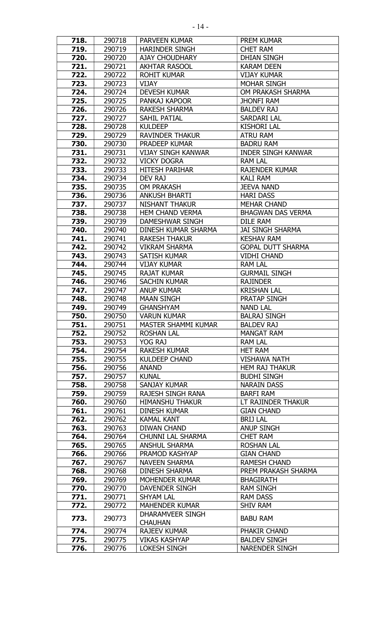| 718.         | 290718           | PARVEEN KUMAR                  | <b>PREM KUMAR</b>                |
|--------------|------------------|--------------------------------|----------------------------------|
| 719.         | 290719           | <b>HARINDER SINGH</b>          | <b>CHET RAM</b>                  |
| 720.         | 290720           | <b>AJAY CHOUDHARY</b>          | <b>DHIAN SINGH</b>               |
| 721.         | 290721           | <b>AKHTAR RASOOL</b>           | <b>KARAM DEEN</b>                |
| 722.         | 290722           | <b>ROHIT KUMAR</b>             | <b>VIJAY KUMAR</b>               |
| 723.         | 290723           | VIJAY                          | <b>MOHAR SINGH</b>               |
| 724.         | 290724           | <b>DEVESH KUMAR</b>            | OM PRAKASH SHARMA                |
| 725.         | 290725           | PANKAJ KAPOOR                  | <b>JHONFI RAM</b>                |
| 726.         | 290726           | <b>RAKESH SHARMA</b>           | <b>BALDEV RAJ</b>                |
| 727.         | 290727           | SAHIL PATIAL                   | SARDARI LAL                      |
| 728.         | 290728           | <b>KULDEEP</b>                 | <b>KISHORI LAL</b>               |
| 729.         | 290729           | <b>RAVINDER THAKUR</b>         | <b>ATRU RAM</b>                  |
| 730.         | 290730           | PRADEEP KUMAR                  | <b>BADRU RAM</b>                 |
| 731.         | 290731           | <b>VIJAY SINGH KANWAR</b>      | <b>INDER SINGH KANWAR</b>        |
| 732.         | 290732           | <b>VICKY DOGRA</b>             | <b>RAM LAL</b>                   |
| 733.         | 290733           | <b>HITESH PARIHAR</b>          | <b>RAJENDER KUMAR</b>            |
| 734.         | 290734           | DEV RAJ                        | <b>KALI RAM</b>                  |
| 735.         | 290735           | <b>OM PRAKASH</b>              | <b>JEEVA NAND</b>                |
| 736.         | 290736           | <b>ANKUSH BHARTI</b>           | <b>HARI DASS</b>                 |
| 737.         | 290737           | <b>NISHANT THAKUR</b>          | <b>MEHAR CHAND</b>               |
| 738.         | 290738           | <b>HEM CHAND VERMA</b>         | <b>BHAGWAN DAS VERMA</b>         |
| 739.         | 290739           | DAMESHWAR SINGH                | DILE RAM                         |
| 740.         | 290740           | DINESH KUMAR SHARMA            | <b>JAI SINGH SHARMA</b>          |
| 741.         | 290741           | <b>RAKESH THAKUR</b>           | <b>KESHAV RAM</b>                |
| 742.         | 290742           | <b>VIKRAM SHARMA</b>           | <b>GOPAL DUTT SHARMA</b>         |
| 743.         | 290743           | SATISH KUMAR                   | <b>VIDHI CHAND</b>               |
| 744.         | 290744           | <b>VIJAY KUMAR</b>             | <b>RAM LAL</b>                   |
| 745.         | 290745           | <b>RAJAT KUMAR</b>             | <b>GURMAIL SINGH</b>             |
| 746.         | 290746           | <b>SACHIN KUMAR</b>            | <b>RAJINDER</b>                  |
| 747.         | 290747           | <b>ANUP KUMAR</b>              | <b>KRISHAN LAL</b>               |
| 748.         | 290748           | <b>MAAN SINGH</b>              | <b>PRATAP SINGH</b>              |
| 749.         | 290749           | <b>GHANSHYAM</b>               | <b>NAND LAL</b>                  |
| 750.         | 290750           | <b>VARUN KUMAR</b>             | <b>BALRAJ SINGH</b>              |
| 751.         | 290751           | MASTER SHAMMI KUMAR            | <b>BALDEV RAJ</b>                |
| 752.         | 290752           | <b>ROSHAN LAL</b>              | <b>MANGAT RAM</b>                |
| 753.<br>754. | 290753           | YOG RAJ<br><b>RAKESH KUMAR</b> | <b>RAM LAL</b><br><b>HET RAM</b> |
| 755.         | 290754<br>290755 | <b>KULDEEP CHAND</b>           | <b>VISHAWA NATH</b>              |
| 756.         | 290756           | <b>ANAND</b>                   | <b>HEM RAJ THAKUR</b>            |
| 757.         | 290757           | <b>KUNAL</b>                   | <b>BUDHI SINGH</b>               |
| 758.         | 290758           | SANJAY KUMAR                   | <b>NARAIN DASS</b>               |
| 759.         | 290759           | RAJESH SINGH RANA              | <b>BARFI RAM</b>                 |
| 760.         | 290760           | <b>HIMANSHU THAKUR</b>         | LT RAJINDER THAKUR               |
| 761.         | 290761           | <b>DINESH KUMAR</b>            | <b>GIAN CHAND</b>                |
| 762.         | 290762           | <b>KAMAL KANT</b>              | <b>BRIJ LAL</b>                  |
| 763.         | 290763           | DIWAN CHAND                    | <b>ANUP SINGH</b>                |
| 764.         | 290764           | CHUNNI LAL SHARMA              | <b>CHET RAM</b>                  |
| 765.         | 290765           | <b>ANSHUL SHARMA</b>           | <b>ROSHAN LAL</b>                |
| 766.         | 290766           | PRAMOD KASHYAP                 | <b>GIAN CHAND</b>                |
| 767.         | 290767           | <b>NAVEEN SHARMA</b>           | <b>RAMESH CHAND</b>              |
| 768.         | 290768           | DINESH SHARMA                  | PREM PRAKASH SHARMA              |
| 769.         | 290769           | MOHENDER KUMAR                 | <b>BHAGIRATH</b>                 |
| 770.         | 290770           | DAVENDER SINGH                 | <b>RAM SINGH</b>                 |
| 771.         | 290771           | <b>SHYAM LAL</b>               | <b>RAM DASS</b>                  |
| 772.         | 290772           | <b>MAHENDER KUMAR</b>          | <b>SHIV RAM</b>                  |
| 773.         | 290773           | DHARAMVEER SINGH               | <b>BABU RAM</b>                  |
|              |                  | <b>CHAUHAN</b>                 |                                  |
| 774.         | 290774           | <b>RAJEEV KUMAR</b>            | PHAKIR CHAND                     |
| 775.         | 290775           | <b>VIKAS KASHYAP</b>           | <b>BALDEV SINGH</b>              |
| 776.         | 290776           | <b>LOKESH SINGH</b>            | <b>NARENDER SINGH</b>            |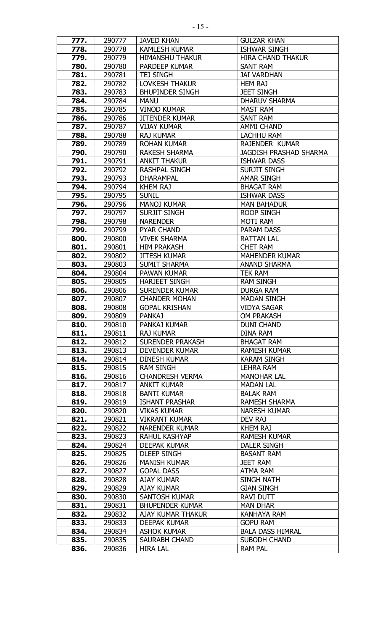| 777. | 290777           | <b>JAVED KHAN</b>       | <b>GULZAR KHAN</b>            |
|------|------------------|-------------------------|-------------------------------|
| 778. | 290778           | <b>KAMLESH KUMAR</b>    | <b>ISHWAR SINGH</b>           |
| 779. | 290779           | <b>HIMANSHU THAKUR</b>  | <b>HIRA CHAND THAKUR</b>      |
| 780. | 290780           | PARDEEP KUMAR           | <b>SANT RAM</b>               |
| 781. | 290781           | <b>TEJ SINGH</b>        | <b>JAI VARDHAN</b>            |
| 782. | 290782           | LOVKESH THAKUR          | <b>HEM RAJ</b>                |
| 783. | 290783           | <b>BHUPINDER SINGH</b>  | <b>JEET SINGH</b>             |
| 784. | 290784           | <b>MANU</b>             | <b>DHARUV SHARMA</b>          |
| 785. | 290785           | <b>VINOD KUMAR</b>      | <b>MAST RAM</b>               |
| 786. | 290786           | <b>JITENDER KUMAR</b>   | <b>SANT RAM</b>               |
| 787. | 290787           | <b>VIJAY KUMAR</b>      | <b>AMMI CHAND</b>             |
| 788. | 290788           | <b>RAJ KUMAR</b>        | <b>LACHHU RAM</b>             |
| 789. | 290789           | <b>ROHAN KUMAR</b>      | RAJENDER KUMAR                |
| 790. |                  | <b>RAKESH SHARMA</b>    | <b>JAGDISH PRASHAD SHARMA</b> |
|      | 290790<br>290791 |                         |                               |
| 791. |                  | <b>ANKIT THAKUR</b>     | <b>ISHWAR DASS</b>            |
| 792. | 290792           | RASHPAL SINGH           | <b>SURJIT SINGH</b>           |
| 793. | 290793           | <b>DHARAMPAL</b>        | <b>AMAR SINGH</b>             |
| 794. | 290794           | <b>KHEM RAJ</b>         | <b>BHAGAT RAM</b>             |
| 795. | 290795           | <b>SUNIL</b>            | <b>ISHWAR DASS</b>            |
| 796. | 290796           | <b>MANOJ KUMAR</b>      | <b>MAN BAHADUR</b>            |
| 797. | 290797           | <b>SURJIT SINGH</b>     | <b>ROOP SINGH</b>             |
| 798. | 290798           | <b>NARENDER</b>         | <b>MOTI RAM</b>               |
| 799. | 290799           | <b>PYAR CHAND</b>       | PARAM DASS                    |
| 800. | 290800           | <b>VIVEK SHARMA</b>     | <b>RATTAN LAL</b>             |
| 801. | 290801           | <b>HIM PRAKASH</b>      | <b>CHET RAM</b>               |
| 802. | 290802           | <b>JITESH KUMAR</b>     | <b>MAHENDER KUMAR</b>         |
| 803. | 290803           | <b>SUMIT SHARMA</b>     | <b>ANAND SHARMA</b>           |
| 804. | 290804           | PAWAN KUMAR             | <b>TEK RAM</b>                |
| 805. | 290805           | <b>HARJEET SINGH</b>    | <b>RAM SINGH</b>              |
| 806. | 290806           | <b>SURENDER KUMAR</b>   | <b>DURGA RAM</b>              |
| 807. | 290807           | <b>CHANDER MOHAN</b>    | <b>MADAN SINGH</b>            |
| 808. | 290808           | <b>GOPAL KRISHAN</b>    | <b>VIDYA SAGAR</b>            |
| 809. | 290809           | <b>PANKAJ</b>           | OM PRAKASH                    |
| 810. | 290810           | PANKAJ KUMAR            | <b>DUNI CHAND</b>             |
| 811. | 290811           | <b>RAJ KUMAR</b>        | DINA RAM                      |
| 812. | 290812           | <b>SURENDER PRAKASH</b> | <b>BHAGAT RAM</b>             |
| 813. | 290813           | <b>DEVENDER KUMAR</b>   | <b>RAMESH KUMAR</b>           |
| 814. | 290814           | <b>DINESH KUMAR</b>     | <b>KARAM SINGH</b>            |
| 815. | 290815           | <b>RAM SINGH</b>        | <b>LEHRA RAM</b>              |
| 816. | 290816           | <b>CHANDRESH VERMA</b>  | <b>MANOHAR LAL</b>            |
| 817. | 290817           | <b>ANKIT KUMAR</b>      | <b>MADAN LAL</b>              |
| 818. | 290818           | <b>BANTI KUMAR</b>      | <b>BALAK RAM</b>              |
| 819. | 290819           | <b>ISHANT PRASHAR</b>   | <b>RAMESH SHARMA</b>          |
| 820. | 290820           | <b>VIKAS KUMAR</b>      | <b>NARESH KUMAR</b>           |
| 821. | 290821           | <b>VIKRANT KUMAR</b>    | DEV RAJ                       |
| 822. | 290822           | <b>NARENDER KUMAR</b>   | <b>KHEM RAJ</b>               |
| 823. | 290823           | <b>RAHUL KASHYAP</b>    | <b>RAMESH KUMAR</b>           |
| 824. | 290824           | <b>DEEPAK KUMAR</b>     | <b>DALER SINGH</b>            |
| 825. | 290825           | <b>DLEEP SINGH</b>      | <b>BASANT RAM</b>             |
| 826. | 290826           | <b>MANISH KUMAR</b>     | <b>JEET RAM</b>               |
| 827. | 290827           | <b>GOPAL DASS</b>       | <b>ATMA RAM</b>               |
| 828. | 290828           | AJAY KUMAR              | <b>SINGH NATH</b>             |
| 829. | 290829           | <b>AJAY KUMAR</b>       | <b>GIAN SINGH</b>             |
| 830. | 290830           | SANTOSH KUMAR           | <b>RAVI DUTT</b>              |
| 831. | 290831           | <b>BHUPENDER KUMAR</b>  | <b>MAN DHAR</b>               |
| 832. | 290832           | AJAY KUMAR THAKUR       | <b>KANHAYA RAM</b>            |
| 833. | 290833           | DEEPAK KUMAR            | <b>GOPU RAM</b>               |
| 834. | 290834           | <b>ASHOK KUMAR</b>      | <b>BALA DASS HIMRAL</b>       |
| 835. |                  |                         |                               |
|      | 290835           | SAURABH CHAND           | SUBODH CHAND                  |
| 836. | 290836           | <b>HIRA LAL</b>         | <b>RAM PAL</b>                |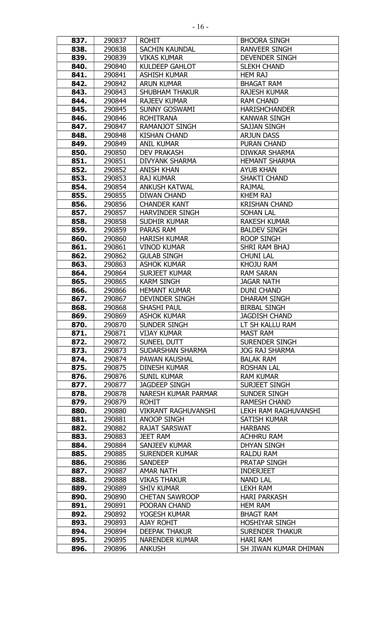| 837.         | 290837           | <b>ROHIT</b>                             | <b>BHOORA SINGH</b>                |
|--------------|------------------|------------------------------------------|------------------------------------|
| 838.         | 290838           | <b>SACHIN KAUNDAL</b>                    | <b>RANVEER SINGH</b>               |
| 839.         | 290839           | <b>VIKAS KUMAR</b>                       | DEVENDER SINGH                     |
| 840.         | 290840           | <b>KULDEEP GAHLOT</b>                    | <b>SLEKH CHAND</b>                 |
| 841.         | 290841           | <b>ASHISH KUMAR</b>                      | <b>HEM RAJ</b>                     |
| 842.         | 290842           | <b>ARUN KUMAR</b>                        | <b>BHAGAT RAM</b>                  |
| 843.         | 290843           | <b>SHUBHAM THAKUR</b>                    | <b>RAJESH KUMAR</b>                |
| 844.         | 290844           | <b>RAJEEV KUMAR</b>                      | <b>RAM CHAND</b>                   |
| 845.         | 290845           | <b>SUNNY GOSWAMI</b>                     | <b>HARISHCHANDER</b>               |
| 846.         | 290846           | <b>ROHITRANA</b>                         | <b>KANWAR SINGH</b>                |
| 847.         | 290847           | <b>RAMANJOT SINGH</b>                    | <b>SAJJAN SINGH</b>                |
| 848.         | 290848           | <b>KISHAN CHAND</b>                      | <b>ARJUN DASS</b>                  |
| 849.         | 290849           | <b>ANIL KUMAR</b>                        | <b>PURAN CHAND</b>                 |
| 850.         | 290850           | <b>DEV PRAKASH</b>                       | DIWKAR SHARMA                      |
| 851.         | 290851           | <b>DIVYANK SHARMA</b>                    | <b>HEMANT SHARMA</b>               |
| 852.         | 290852           | <b>ANISH KHAN</b>                        | <b>AYUB KHAN</b>                   |
| 853.         | 290853           | <b>RAJ KUMAR</b>                         | <b>SHAKTI CHAND</b>                |
| 854.         | 290854           | <b>ANKUSH KATWAL</b>                     | <b>RAJMAL</b>                      |
| 855.         | 290855           | <b>DIWAN CHAND</b>                       | <b>KHEM RAJ</b>                    |
| 856.         | 290856           | <b>CHANDER KANT</b>                      | <b>KRISHAN CHAND</b>               |
| 857.         | 290857           | <b>HARVINDER SINGH</b>                   | <b>SOHAN LAL</b>                   |
| 858.         | 290858           | <b>SUDHIR KUMAR</b>                      | <b>RAKESH KUMAR</b>                |
| 859.         | 290859           | PARAS RAM                                | <b>BALDEV SINGH</b>                |
| 860.         | 290860           | <b>HARISH KUMAR</b>                      | <b>ROOP SINGH</b>                  |
| 861.         | 290861           | <b>VINOD KUMAR</b>                       | <b>SHRI RAM BHAJ</b>               |
| 862.         | 290862           | <b>GULAB SINGH</b>                       | <b>CHUNI LAL</b>                   |
| 863.         | 290863           | <b>ASHOK KUMAR</b>                       | <b>KHOJU RAM</b>                   |
| 864.         | 290864           | <b>SURJEET KUMAR</b>                     | <b>RAM SARAN</b>                   |
| 865.         | 290865           | <b>KARM SINGH</b>                        | <b>JAGAR NATH</b>                  |
| 866.         | 290866           | <b>HEMANT KUMAR</b>                      | <b>DUNI CHAND</b>                  |
| 867.         | 290867           | <b>DEVINDER SINGH</b>                    | <b>DHARAM SINGH</b>                |
| 868.         | 290868           | SHASHI PAUL                              | <b>BIRBAL SINGH</b>                |
| 869.         | 290869           | <b>ASHOK KUMAR</b>                       | <b>JAGDISH CHAND</b>               |
| 870.         | 290870           | <b>SUNDER SINGH</b>                      | LT SH KALLU RAM                    |
| 871.         | 290871           | <b>VIJAY KUMAR</b>                       | <b>MAST RAM</b>                    |
| 872.         | 290872           | SUNEEL DUTT                              | <b>SURENDER SINGH</b>              |
| 873.         | 290873           | SUDARSHAN SHARMA                         | <b>JOG RAJ SHARMA</b>              |
| 874.         | 290874           | PAWAN KAUSHAL                            | <b>BALAK RAM</b>                   |
| 875.         | 290875           | <b>DINESH KUMAR</b>                      | <b>ROSHAN LAL</b>                  |
| 876.         | 290876           | <b>SUNIL KUMAR</b>                       | <b>RAM KUMAR</b>                   |
| 877.         | 290877           | <b>JAGDEEP SINGH</b>                     | <b>SURJEET SINGH</b>               |
| 878.         | 290878           | NARESH KUMAR PARMAR                      | <b>SUNDER SINGH</b>                |
| 879.         | 290879           | <b>ROHIT</b>                             | <b>RAMESH CHAND</b>                |
| 880.         | 290880           | <b>VIKRANT RAGHUVANSHI</b>               | <b>LEKH RAM RAGHUVANSHI</b>        |
| 881.         | 290881           | ANOOP SINGH                              | <b>SATISH KUMAR</b>                |
| 882.         | 290882           | RAJAT SARSWAT                            | <b>HARBANS</b>                     |
| 883.         | 290883           | <b>JEET RAM</b>                          | <b>ACHHRU RAM</b>                  |
| 884.         | 290884           | SANJEEV KUMAR                            | <b>DHYAN SINGH</b>                 |
| 885.         | 290885           | <b>SURENDER KUMAR</b>                    | <b>RALDU RAM</b><br>PRATAP SINGH   |
| 886.         | 290886           | SANDEEP<br><b>AMAR NATH</b>              | <b>INDERJEET</b>                   |
| 887.<br>888. | 290887           |                                          |                                    |
| 889.         | 290888<br>290889 | <b>VIKAS THAKUR</b><br><b>SHIV KUMAR</b> | <b>NAND LAL</b><br><b>LEKH RAM</b> |
| 890.         | 290890           | <b>CHETAN SAWROOP</b>                    | <b>HARI PARKASH</b>                |
| 891.         | 290891           | POORAN CHAND                             | <b>HEM RAM</b>                     |
| 892.         | 290892           | YOGESH KUMAR                             | <b>BHAGT RAM</b>                   |
| 893.         | 290893           | <b>AJAY ROHIT</b>                        | <b>HOSHIYAR SINGH</b>              |
| 894.         | 290894           | <b>DEEPAK THAKUR</b>                     | <b>SURENDER THAKUR</b>             |
| 895.         | 290895           | <b>NARENDER KUMAR</b>                    | <b>HARI RAM</b>                    |
| 896.         | 290896           | <b>ANKUSH</b>                            | SH JIWAN KUMAR DHIMAN              |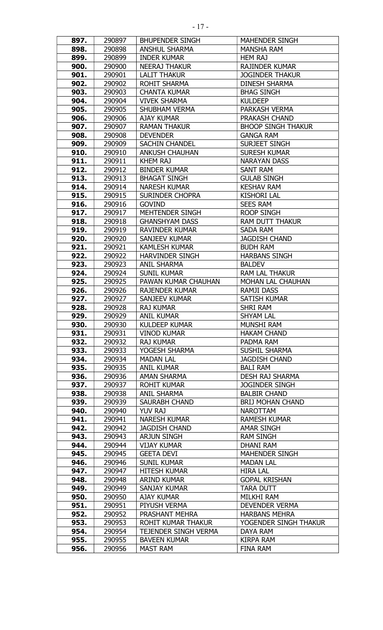| 897.         | 290897           | <b>BHUPENDER SINGH</b>               | <b>MAHENDER SINGH</b>             |
|--------------|------------------|--------------------------------------|-----------------------------------|
| 898.         | 290898           | <b>ANSHUL SHARMA</b>                 | <b>MANSHA RAM</b>                 |
| 899.         | 290899           | <b>INDER KUMAR</b>                   | <b>HEM RAJ</b>                    |
| 900.         | 290900           | <b>NEERAJ THAKUR</b>                 | <b>RAJINDER KUMAR</b>             |
| 901.         | 290901           | <b>LALIT THAKUR</b>                  | <b>JOGINDER THAKUR</b>            |
| 902.         | 290902           | <b>ROHIT SHARMA</b>                  | <b>DINESH SHARMA</b>              |
| 903.         | 290903           | <b>CHANTA KUMAR</b>                  | <b>BHAG SINGH</b>                 |
| 904.         | 290904           | <b>VIVEK SHARMA</b>                  | <b>KULDEEP</b>                    |
| 905.         | 290905           | <b>SHUBHAM VERMA</b>                 | PARKASH VERMA                     |
| 906.         | 290906           | <b>AJAY KUMAR</b>                    | PRAKASH CHAND                     |
| 907.         | 290907           | <b>RAMAN THAKUR</b>                  | <b>BHOOP SINGH THAKUR</b>         |
| 908.         | 290908           | <b>DEVENDER</b>                      | <b>GANGA RAM</b>                  |
| 909.         | 290909           | <b>SACHIN CHANDEL</b>                | <b>SURJEET SINGH</b>              |
| 910.         | 290910           | <b>ANKUSH CHAUHAN</b>                | <b>SURESH KUMAR</b>               |
| 911.         | 290911           | <b>KHEM RAJ</b>                      | <b>NARAYAN DASS</b>               |
| 912.         | 290912           | <b>BINDER KUMAR</b>                  | <b>SANT RAM</b>                   |
| 913.         | 290913           | <b>BHAGAT SINGH</b>                  | <b>GULAB SINGH</b>                |
| 914.         | 290914           | <b>NARESH KUMAR</b>                  | <b>KESHAV RAM</b>                 |
| 915.         | 290915           | <b>SURINDER CHOPRA</b>               | <b>KISHORI LAL</b>                |
| 916.         | 290916           | <b>GOVIND</b>                        | <b>SEES RAM</b>                   |
| 917.         | 290917           | MEHTENDER SINGH                      | <b>ROOP SINGH</b>                 |
| 918.         | 290918           | <b>GHANSHYAM DASS</b>                | <b>RAM DUTT THAKUR</b>            |
| 919.         | 290919           | <b>RAVINDER KUMAR</b>                | SADA RAM                          |
| 920.         | 290920           | SANJEEV KUMAR                        | <b>JAGDISH CHAND</b>              |
| 921.         | 290921           | <b>KAMLESH KUMAR</b>                 | <b>BUDH RAM</b>                   |
| 922.         | 290922           | <b>HARVINDER SINGH</b>               | <b>HARBANS SINGH</b>              |
| 923.         | 290923           | <b>ANIL SHARMA</b>                   | <b>BALDEV</b>                     |
| 924.         | 290924           | <b>SUNIL KUMAR</b>                   | <b>RAM LAL THAKUR</b>             |
| 925.         | 290925           | PAWAN KUMAR CHAUHAN                  | <b>MOHAN LAL CHAUHAN</b>          |
| 926.         | 290926           | <b>RAJENDER KUMAR</b>                | <b>RAMJI DASS</b>                 |
| 927.         | 290927           | <b>SANJEEV KUMAR</b>                 | <b>SATISH KUMAR</b>               |
| 928.         | 290928           | <b>RAJ KUMAR</b>                     | <b>SHRI RAM</b>                   |
| 929.         | 290929           | <b>ANIL KUMAR</b>                    | SHYAM LAL                         |
| 930.         | 290930           | <b>KULDEEP KUMAR</b>                 | MUNSHI RAM                        |
| 931.         | 290931           | <b>VINOD KUMAR</b>                   | <b>HAKAM CHAND</b>                |
| 932.         | 290932           | <b>RAJ KUMAR</b>                     | PADMA RAM                         |
| 933.         | 290933           | YOGESH SHARMA                        | <b>SUSHIL SHARMA</b>              |
| 934.         | 290934           | <b>MADAN LAL</b>                     | <b>JAGDISH CHAND</b>              |
| 935.         | 290935           | <b>ANIL KUMAR</b>                    | <b>BALI RAM</b>                   |
| 936.         | 290936           | AMAN SHARMA                          | <b>DESH RAJ SHARMA</b>            |
| 937.         | 290937           | <b>ROHIT KUMAR</b>                   | <b>JOGINDER SINGH</b>             |
| 938.         | 290938           | <b>ANIL SHARMA</b>                   | <b>BALBIR CHAND</b>               |
| 939.         | 290939           | <b>SAURABH CHAND</b>                 | <b>BRIJ MOHAN CHAND</b>           |
| 940.         | 290940           | YUV RAJ                              | <b>NAROTTAM</b>                   |
| 941.         | 290941           | <b>NARESH KUMAR</b>                  | <b>RAMESH KUMAR</b>               |
| 942.         | 290942           | <b>JAGDISH CHAND</b>                 | <b>AMAR SINGH</b>                 |
| 943.         | 290943           | <b>ARJUN SINGH</b>                   | <b>RAM SINGH</b>                  |
| 944.         | 290944           | <b>VIJAY KUMAR</b>                   | DHANI RAM                         |
| 945.         | 290945           | <b>GEETA DEVI</b>                    | <b>MAHENDER SINGH</b>             |
| 946.         | 290946           | <b>SUNIL KUMAR</b>                   | <b>MADAN LAL</b>                  |
| 947.         | 290947           | <b>HITESH KUMAR</b>                  | <b>HIRA LAL</b>                   |
| 948.         | 290948           | <b>ARIND KUMAR</b>                   | <b>GOPAL KRISHAN</b>              |
| 949.         | 290949           | SANJAY KUMAR                         | <b>TARA DUTT</b>                  |
| 950.         | 290950           | <b>AJAY KUMAR</b>                    | MILKHI RAM                        |
| 951.         | 290951           | PIYUSH VERMA                         | <b>DEVENDER VERMA</b>             |
| 952.<br>953. | 290952<br>290953 | PRASHANT MEHRA<br>ROHIT KUMAR THAKUR | <b>HARBANS MEHRA</b>              |
| 954.         | 290954           | <b>TEJENDER SINGH VERMA</b>          | YOGENDER SINGH THAKUR<br>DAYA RAM |
| 955.         | 290955           | <b>BAVEEN KUMAR</b>                  | <b>KIRPA RAM</b>                  |
| 956.         | 290956           | <b>MAST RAM</b>                      | FINA RAM                          |
|              |                  |                                      |                                   |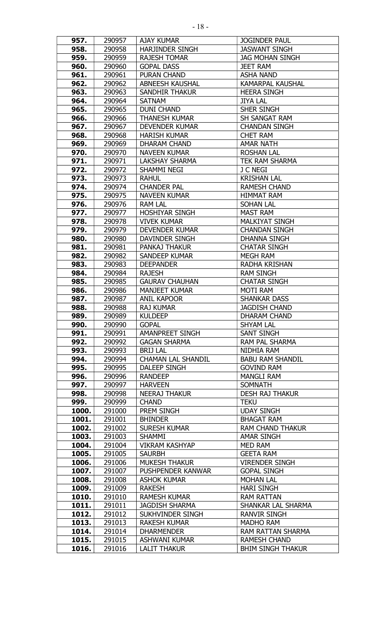| 957.  | 290957 | <b>AJAY KUMAR</b>         | <b>JOGINDER PAUL</b>     |
|-------|--------|---------------------------|--------------------------|
| 958.  | 290958 | <b>HARJINDER SINGH</b>    | <b>JASWANT SINGH</b>     |
| 959.  | 290959 | <b>RAJESH TOMAR</b>       | <b>JAG MOHAN SINGH</b>   |
| 960.  | 290960 | <b>GOPAL DASS</b>         | <b>JEET RAM</b>          |
| 961.  | 290961 | <b>PURAN CHAND</b>        | <b>ASHA NAND</b>         |
| 962.  | 290962 | <b>ABNEESH KAUSHAL</b>    | <b>KAMARPAL KAUSHAL</b>  |
| 963.  | 290963 | <b>SANDHIR THAKUR</b>     | <b>HEERA SINGH</b>       |
| 964.  | 290964 | <b>SATNAM</b>             | <b>JIYA LAL</b>          |
| 965.  | 290965 | <b>DUNI CHAND</b>         | <b>SHER SINGH</b>        |
| 966.  | 290966 | <b>THANESH KUMAR</b>      | SH SANGAT RAM            |
| 967.  | 290967 | <b>DEVENDER KUMAR</b>     | <b>CHANDAN SINGH</b>     |
| 968.  | 290968 | <b>HARISH KUMAR</b>       | <b>CHET RAM</b>          |
| 969.  | 290969 | <b>DHARAM CHAND</b>       | <b>AMAR NATH</b>         |
| 970.  | 290970 | <b>NAVEEN KUMAR</b>       | <b>ROSHAN LAL</b>        |
| 971.  | 290971 | <b>LAKSHAY SHARMA</b>     | TEK RAM SHARMA           |
| 972.  | 290972 | SHAMMI NEGI               | J C NEGI                 |
| 973.  | 290973 | <b>RAHUL</b>              | <b>KRISHAN LAL</b>       |
| 974.  | 290974 | <b>CHANDER PAL</b>        | <b>RAMESH CHAND</b>      |
| 975.  | 290975 | <b>NAVEEN KUMAR</b>       | <b>HIMMAT RAM</b>        |
| 976.  | 290976 | <b>RAM LAL</b>            | <b>SOHAN LAL</b>         |
| 977.  | 290977 | <b>HOSHIYAR SINGH</b>     | <b>MAST RAM</b>          |
| 978.  | 290978 | <b>VIVEK KUMAR</b>        | <b>MALKIYAT SINGH</b>    |
| 979.  | 290979 | <b>DEVENDER KUMAR</b>     | <b>CHANDAN SINGH</b>     |
| 980.  | 290980 | DAVINDER SINGH            | <b>DHANNA SINGH</b>      |
| 981.  | 290981 | <b>PANKAJ THAKUR</b>      | <b>CHATAR SINGH</b>      |
| 982.  | 290982 | <b>SANDEEP KUMAR</b>      | <b>MEGH RAM</b>          |
| 983.  | 290983 | <b>DEEPANDER</b>          | <b>RADHA KRISHAN</b>     |
|       |        |                           |                          |
| 984.  | 290984 | <b>RAJESH</b>             | <b>RAM SINGH</b>         |
| 985.  | 290985 | <b>GAURAV CHAUHAN</b>     | <b>CHATAR SINGH</b>      |
| 986.  | 290986 | <b>MANJEET KUMAR</b>      | <b>MOTI RAM</b>          |
| 987.  | 290987 | <b>ANIL KAPOOR</b>        | <b>SHANKAR DASS</b>      |
| 988.  | 290988 | <b>RAJ KUMAR</b>          | <b>JAGDISH CHAND</b>     |
| 989.  | 290989 | <b>KULDEEP</b>            | DHARAM CHAND             |
| 990.  | 290990 | <b>GOPAL</b>              | SHYAM LAL                |
| 991.  | 290991 | AMANPREET SINGH           | SANT SINGH               |
| 992.  | 290992 | <b>GAGAN SHARMA</b>       | RAM PAL SHARMA           |
| 993.  | 290993 | <b>BRIJ LAL</b>           | NIDHIA RAM               |
| 994.  | 290994 | <b>CHAMAN LAL SHANDIL</b> | <b>BABU RAM SHANDIL</b>  |
| 995.  | 290995 | DALEEP SINGH              | <b>GOVIND RAM</b>        |
| 996.  | 290996 | <b>RANDEEP</b>            | <b>MANGLI RAM</b>        |
| 997.  | 290997 | <b>HARVEEN</b>            | <b>SOMNATH</b>           |
| 998.  | 290998 | <b>NEERAJ THAKUR</b>      | <b>DESH RAJ THAKUR</b>   |
| 999.  | 290999 | <b>CHAND</b>              | <b>TEKU</b>              |
| 1000. | 291000 | PREM SINGH                | <b>UDAY SINGH</b>        |
| 1001. | 291001 | <b>BHINDER</b>            | <b>BHAGAT RAM</b>        |
| 1002. | 291002 | <b>SURESH KUMAR</b>       | <b>RAM CHAND THAKUR</b>  |
| 1003. | 291003 | <b>SHAMMI</b>             | <b>AMAR SINGH</b>        |
| 1004. | 291004 | <b>VIKRAM KASHYAP</b>     | MED RAM                  |
| 1005. | 291005 | <b>SAURBH</b>             | <b>GEETA RAM</b>         |
| 1006. | 291006 | <b>MUKESH THAKUR</b>      | <b>VIRENDER SINGH</b>    |
| 1007. | 291007 | PUSHPENDER KANWAR         | <b>GOPAL SINGH</b>       |
| 1008. | 291008 | <b>ASHOK KUMAR</b>        | <b>MOHAN LAL</b>         |
| 1009. | 291009 | <b>RAKESH</b>             | <b>HARI SINGH</b>        |
| 1010. | 291010 | <b>RAMESH KUMAR</b>       | <b>RAM RATTAN</b>        |
| 1011. | 291011 | <b>JAGDISH SHARMA</b>     | SHANKAR LAL SHARMA       |
| 1012. | 291012 | SUKHVINDER SINGH          | <b>RANVIR SINGH</b>      |
| 1013. | 291013 | <b>RAKESH KUMAR</b>       | <b>MADHO RAM</b>         |
| 1014. | 291014 | <b>DHARMENDER</b>         | <b>RAM RATTAN SHARMA</b> |
| 1015. | 291015 | ASHWANI KUMAR             | RAMESH CHAND             |
| 1016. | 291016 | <b>LALIT THAKUR</b>       | <b>BHIM SINGH THAKUR</b> |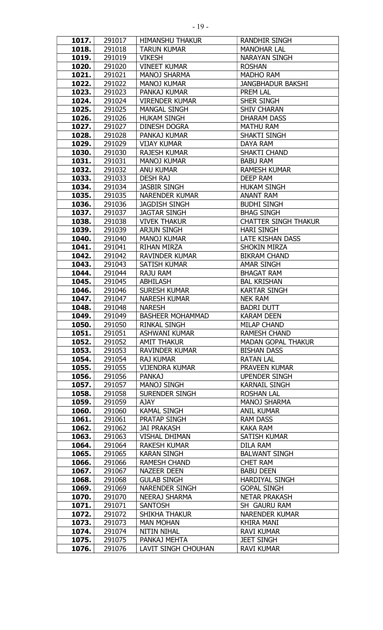| 1017. | 291017 | <b>HIMANSHU THAKUR</b>  | RANDHIR SINGH               |
|-------|--------|-------------------------|-----------------------------|
| 1018. | 291018 | <b>TARUN KUMAR</b>      | <b>MANOHAR LAL</b>          |
| 1019. | 291019 | <b>VIKESH</b>           | <b>NARAYAN SINGH</b>        |
| 1020. | 291020 | <b>VINEET KUMAR</b>     | <b>ROSHAN</b>               |
| 1021. | 291021 | <b>MANOJ SHARMA</b>     | <b>MADHO RAM</b>            |
| 1022. | 291022 | <b>MANOJ KUMAR</b>      | <b>JANGBHADUR BAKSHI</b>    |
| 1023. | 291023 | PANKAJ KUMAR            | PREM LAL                    |
| 1024. | 291024 | <b>VIRENDER KUMAR</b>   | SHER SINGH                  |
| 1025. | 291025 | <b>MANGAL SINGH</b>     | <b>SHIV CHARAN</b>          |
| 1026. | 291026 | <b>HUKAM SINGH</b>      | <b>DHARAM DASS</b>          |
| 1027. | 291027 | <b>DINESH DOGRA</b>     | <b>MATHU RAM</b>            |
| 1028. | 291028 | PANKAJ KUMAR            | <b>SHAKTI SINGH</b>         |
| 1029. | 291029 | <b>VIJAY KUMAR</b>      | <b>DAYA RAM</b>             |
| 1030. | 291030 | <b>RAJESH KUMAR</b>     | SHAKTI CHAND                |
| 1031. | 291031 | <b>MANOJ KUMAR</b>      | <b>BABU RAM</b>             |
| 1032. | 291032 | <b>ANU KUMAR</b>        | <b>RAMESH KUMAR</b>         |
| 1033. | 291033 | <b>DESH RAJ</b>         | <b>DEEP RAM</b>             |
| 1034. | 291034 | <b>JASBIR SINGH</b>     | <b>HUKAM SINGH</b>          |
| 1035. | 291035 | <b>NARENDER KUMAR</b>   | <b>ANANT RAM</b>            |
| 1036. | 291036 | <b>JAGDISH SINGH</b>    | <b>BUDHI SINGH</b>          |
| 1037. | 291037 | <b>JAGTAR SINGH</b>     | <b>BHAG SINGH</b>           |
| 1038. | 291038 | <b>VIVEK THAKUR</b>     | <b>CHATTER SINGH THAKUR</b> |
| 1039. | 291039 | <b>ARJUN SINGH</b>      | <b>HARI SINGH</b>           |
| 1040. | 291040 | <b>MANOJ KUMAR</b>      | <b>LATE KISHAN DASS</b>     |
| 1041. | 291041 | <b>RIHAN MIRZA</b>      | <b>SHOKIN MIRZA</b>         |
| 1042. | 291042 | <b>RAVINDER KUMAR</b>   | <b>BIKRAM CHAND</b>         |
| 1043. | 291043 | <b>SATISH KUMAR</b>     | <b>AMAR SINGH</b>           |
| 1044. | 291044 | <b>RAJU RAM</b>         | <b>BHAGAT RAM</b>           |
| 1045. | 291045 | <b>ABHILASH</b>         | <b>BAL KRISHAN</b>          |
| 1046. | 291046 | <b>SURESH KUMAR</b>     | <b>KARTAR SINGH</b>         |
| 1047. | 291047 | <b>NARESH KUMAR</b>     | <b>NEK RAM</b>              |
| 1048. | 291048 | <b>NARESH</b>           | <b>BADRI DUTT</b>           |
| 1049. | 291049 | <b>BASHEER MOHAMMAD</b> | <b>KARAM DEEN</b>           |
| 1050. | 291050 | RINKAL SINGH            | MILAP CHAND                 |
| 1051. | 291051 | ASHWANI KUMAR           | <b>RAMESH CHAND</b>         |
| 1052. | 291052 | <b>AMIT THAKUR</b>      | <b>MADAN GOPAL THAKUR</b>   |
| 1053. | 291053 | <b>RAVINDER KUMAR</b>   | <b>BISHAN DASS</b>          |
| 1054. | 291054 | <b>RAJ KUMAR</b>        | <b>RATAN LAL</b>            |
| 1055. | 291055 | <b>VIJENDRA KUMAR</b>   | PRAVEEN KUMAR               |
| 1056. | 291056 | <b>PANKAJ</b>           | <b>UPENDER SINGH</b>        |
| 1057. | 291057 | <b>MANOJ SINGH</b>      | <b>KARNAIL SINGH</b>        |
| 1058. | 291058 | <b>SURENDER SINGH</b>   | <b>ROSHAN LAL</b>           |
| 1059. | 291059 | AJAY                    | <b>MANOJ SHARMA</b>         |
| 1060. | 291060 | <b>KAMAL SINGH</b>      | <b>ANIL KUMAR</b>           |
| 1061. | 291061 | PRATAP SINGH            | <b>RAM DASS</b>             |
| 1062. | 291062 | <b>JAI PRAKASH</b>      | <b>KAKA RAM</b>             |
| 1063. | 291063 | <b>VISHAL DHIMAN</b>    | <b>SATISH KUMAR</b>         |
| 1064. | 291064 | <b>RAKESH KUMAR</b>     | DILA RAM                    |
| 1065. | 291065 | <b>KARAN SINGH</b>      | <b>BALWANT SINGH</b>        |
| 1066. | 291066 | <b>RAMESH CHAND</b>     | <b>CHET RAM</b>             |
| 1067. | 291067 | <b>NAZEER DEEN</b>      | <b>BABU DEEN</b>            |
| 1068. | 291068 | <b>GULAB SINGH</b>      | <b>HARDIYAL SINGH</b>       |
| 1069. | 291069 | NARENDER SINGH          | <b>GOPAL SINGH</b>          |
| 1070. | 291070 | <b>NEERAJ SHARMA</b>    | <b>NETAR PRAKASH</b>        |
| 1071. | 291071 | SANTOSH                 | SH GAURU RAM                |
| 1072. | 291072 | <b>SHIKHA THAKUR</b>    | <b>NARENDER KUMAR</b>       |
| 1073. | 291073 | <b>MAN MOHAN</b>        | <b>KHIRA MANI</b>           |
| 1074. | 291074 | <b>NITIN NIHAL</b>      | <b>RAVI KUMAR</b>           |
| 1075. | 291075 | PANKAJ MEHTA            | <b>JEET SINGH</b>           |
| 1076. | 291076 | LAVIT SINGH CHOUHAN     | <b>RAVI KUMAR</b>           |
|       |        |                         |                             |